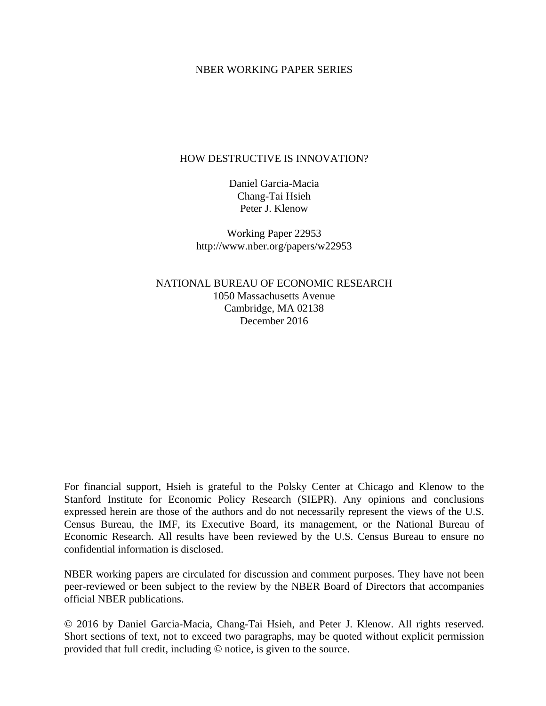### NBER WORKING PAPER SERIES

### HOW DESTRUCTIVE IS INNOVATION?

Daniel Garcia-Macia Chang-Tai Hsieh Peter J. Klenow

Working Paper 22953 http://www.nber.org/papers/w22953

NATIONAL BUREAU OF ECONOMIC RESEARCH 1050 Massachusetts Avenue Cambridge, MA 02138 December 2016

For financial support, Hsieh is grateful to the Polsky Center at Chicago and Klenow to the Stanford Institute for Economic Policy Research (SIEPR). Any opinions and conclusions expressed herein are those of the authors and do not necessarily represent the views of the U.S. Census Bureau, the IMF, its Executive Board, its management, or the National Bureau of Economic Research. All results have been reviewed by the U.S. Census Bureau to ensure no confidential information is disclosed.

NBER working papers are circulated for discussion and comment purposes. They have not been peer-reviewed or been subject to the review by the NBER Board of Directors that accompanies official NBER publications.

© 2016 by Daniel Garcia-Macia, Chang-Tai Hsieh, and Peter J. Klenow. All rights reserved. Short sections of text, not to exceed two paragraphs, may be quoted without explicit permission provided that full credit, including © notice, is given to the source.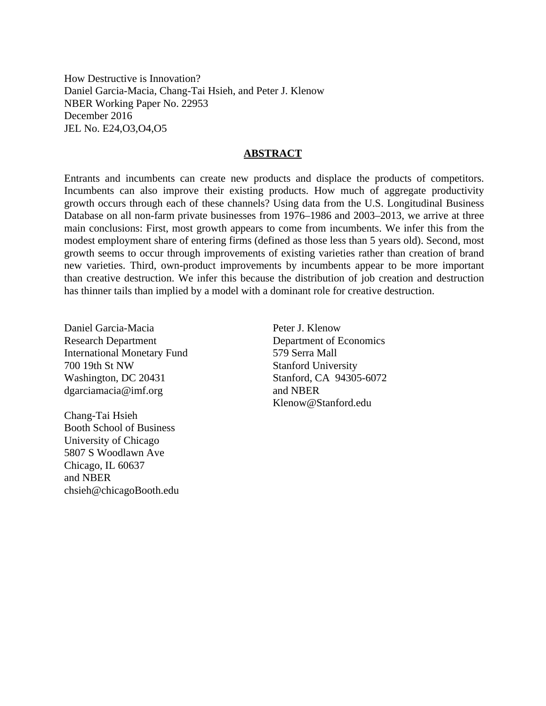How Destructive is Innovation? Daniel Garcia-Macia, Chang-Tai Hsieh, and Peter J. Klenow NBER Working Paper No. 22953 December 2016 JEL No. E24,O3,O4,O5

#### **ABSTRACT**

Entrants and incumbents can create new products and displace the products of competitors. Incumbents can also improve their existing products. How much of aggregate productivity growth occurs through each of these channels? Using data from the U.S. Longitudinal Business Database on all non-farm private businesses from 1976–1986 and 2003–2013, we arrive at three main conclusions: First, most growth appears to come from incumbents. We infer this from the modest employment share of entering firms (defined as those less than 5 years old). Second, most growth seems to occur through improvements of existing varieties rather than creation of brand new varieties. Third, own-product improvements by incumbents appear to be more important than creative destruction. We infer this because the distribution of job creation and destruction has thinner tails than implied by a model with a dominant role for creative destruction.

Daniel Garcia-Macia Research Department International Monetary Fund 700 19th St NW Washington, DC 20431 dgarciamacia@imf.org

Chang-Tai Hsieh Booth School of Business University of Chicago 5807 S Woodlawn Ave Chicago, IL 60637 and NBER chsieh@chicagoBooth.edu

Peter J. Klenow Department of Economics 579 Serra Mall Stanford University Stanford, CA 94305-6072 and NBER Klenow@Stanford.edu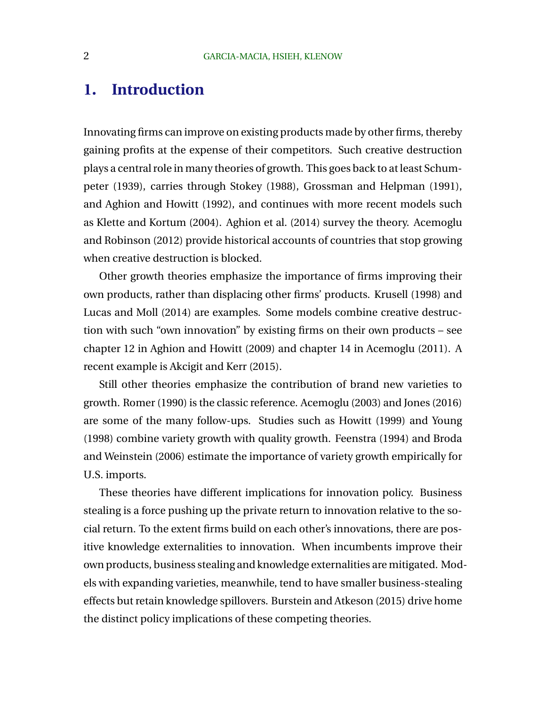## **1. Introduction**

Innovating firms can improve on existing products made by other firms, thereby gaining profits at the expense of their competitors. Such creative destruction plays a central role in many theories of growth. This goes back to at least Schumpeter (1939), carries through Stokey (1988), Grossman and Helpman (1991), and Aghion and Howitt (1992), and continues with more recent models such as Klette and Kortum (2004). Aghion et al. (2014) survey the theory. Acemoglu and Robinson (2012) provide historical accounts of countries that stop growing when creative destruction is blocked.

Other growth theories emphasize the importance of firms improving their own products, rather than displacing other firms' products. Krusell (1998) and Lucas and Moll (2014) are examples. Some models combine creative destruction with such "own innovation" by existing firms on their own products – see chapter 12 in Aghion and Howitt (2009) and chapter 14 in Acemoglu (2011). A recent example is Akcigit and Kerr (2015).

Still other theories emphasize the contribution of brand new varieties to growth. Romer (1990) is the classic reference. Acemoglu (2003) and Jones (2016) are some of the many follow-ups. Studies such as Howitt (1999) and Young (1998) combine variety growth with quality growth. Feenstra (1994) and Broda and Weinstein (2006) estimate the importance of variety growth empirically for U.S. imports.

These theories have different implications for innovation policy. Business stealing is a force pushing up the private return to innovation relative to the social return. To the extent firms build on each other's innovations, there are positive knowledge externalities to innovation. When incumbents improve their own products, business stealing and knowledge externalities are mitigated. Models with expanding varieties, meanwhile, tend to have smaller business-stealing effects but retain knowledge spillovers. Burstein and Atkeson (2015) drive home the distinct policy implications of these competing theories.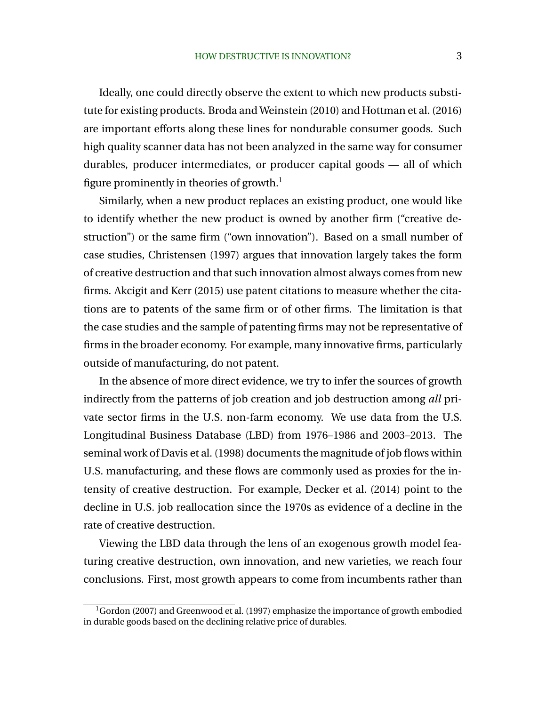Ideally, one could directly observe the extent to which new products substitute for existing products. Broda and Weinstein (2010) and Hottman et al. (2016) are important efforts along these lines for nondurable consumer goods. Such high quality scanner data has not been analyzed in the same way for consumer durables, producer intermediates, or producer capital goods — all of which figure prominently in theories of growth.<sup>1</sup>

Similarly, when a new product replaces an existing product, one would like to identify whether the new product is owned by another firm ("creative destruction") or the same firm ("own innovation"). Based on a small number of case studies, Christensen (1997) argues that innovation largely takes the form of creative destruction and that such innovation almost always comes from new firms. Akcigit and Kerr (2015) use patent citations to measure whether the citations are to patents of the same firm or of other firms. The limitation is that the case studies and the sample of patenting firms may not be representative of firms in the broader economy. For example, many innovative firms, particularly outside of manufacturing, do not patent.

In the absence of more direct evidence, we try to infer the sources of growth indirectly from the patterns of job creation and job destruction among *all* private sector firms in the U.S. non-farm economy. We use data from the U.S. Longitudinal Business Database (LBD) from 1976–1986 and 2003–2013. The seminal work of Davis et al. (1998) documents the magnitude of job flows within U.S. manufacturing, and these flows are commonly used as proxies for the intensity of creative destruction. For example, Decker et al. (2014) point to the decline in U.S. job reallocation since the 1970s as evidence of a decline in the rate of creative destruction.

Viewing the LBD data through the lens of an exogenous growth model featuring creative destruction, own innovation, and new varieties, we reach four conclusions. First, most growth appears to come from incumbents rather than

 $1$ Gordon (2007) and Greenwood et al. (1997) emphasize the importance of growth embodied in durable goods based on the declining relative price of durables.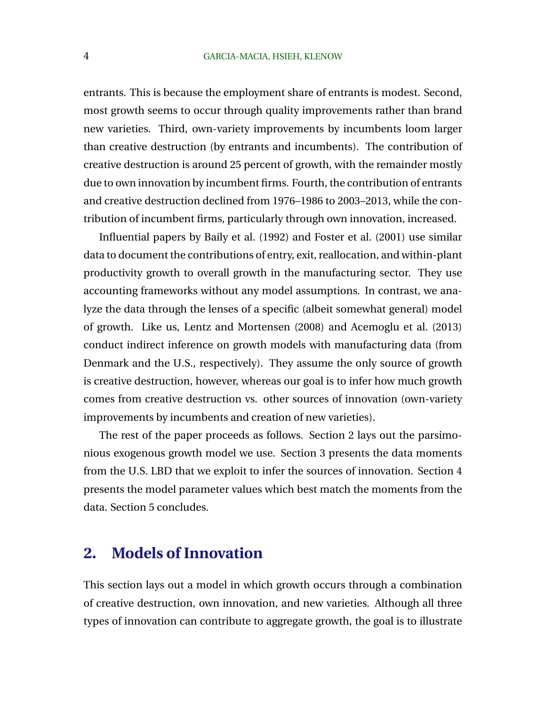entrants. This is because the employment share of entrants is modest. Second, most growth seems to occur through quality improvements rather than brand new varieties. Third, own-variety improvements by incumbents loom larger than creative destruction (by entrants and incumbents). The contribution of creative destruction is around 25 percent of growth, with the remainder mostly due to own innovation by incumbent firms. Fourth, the contribution of entrants and creative destruction declined from 1976–1986 to 2003–2013, while the contribution of incumbent firms, particularly through own innovation, increased.

Influential papers by Baily et al. (1992) and Foster et al. (2001) use similar data to document the contributions of entry, exit, reallocation, and within-plant productivity growth to overall growth in the manufacturing sector. They use accounting frameworks without any model assumptions. In contrast, we analyze the data through the lenses of a specific (albeit somewhat general) model of growth. Like us, Lentz and Mortensen (2008) and Acemoglu et al. (2013) conduct indirect inference on growth models with manufacturing data (from Denmark and the U.S., respectively). They assume the only source of growth is creative destruction, however, whereas our goal is to infer how much growth comes from creative destruction vs. other sources of innovation (own-variety improvements by incumbents and creation of new varieties).

The rest of the paper proceeds as follows. Section 2 lays out the parsimonious exogenous growth model we use. Section 3 presents the data moments from the U.S. LBD that we exploit to infer the sources of innovation. Section 4 presents the model parameter values which best match the moments from the data. Section 5 concludes.

## **2. Models of Innovation**

This section lays out a model in which growth occurs through a combination of creative destruction, own innovation, and new varieties. Although all three types of innovation can contribute to aggregate growth, the goal is to illustrate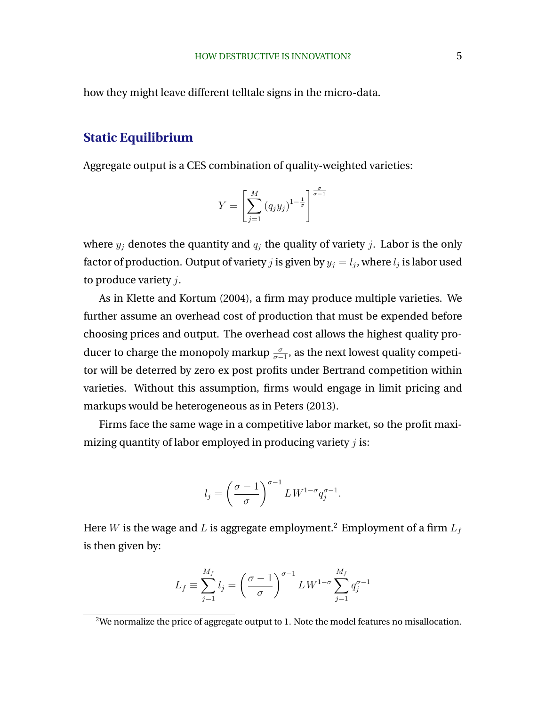how they might leave different telltale signs in the micro-data.

### **Static Equilibrium**

Aggregate output is a CES combination of quality-weighted varieties:

$$
Y = \left[\sum_{j=1}^{M} (q_j y_j)^{1-\frac{1}{\sigma}}\right]^{\frac{\sigma}{\sigma-1}}
$$

where  $y_j$  denotes the quantity and  $q_j$  the quality of variety j. Labor is the only factor of production. Output of variety  $j$  is given by  $y_j=l_j$ , where  $l_j$  is labor used to produce variety  $i$ .

As in Klette and Kortum (2004), a firm may produce multiple varieties. We further assume an overhead cost of production that must be expended before choosing prices and output. The overhead cost allows the highest quality producer to charge the monopoly markup  $\frac{\sigma}{\sigma-1}$ , as the next lowest quality competitor will be deterred by zero ex post profits under Bertrand competition within varieties. Without this assumption, firms would engage in limit pricing and markups would be heterogeneous as in Peters (2013).

Firms face the same wage in a competitive labor market, so the profit maximizing quantity of labor employed in producing variety  $j$  is:

$$
l_j = \left(\frac{\sigma - 1}{\sigma}\right)^{\sigma - 1} L W^{1 - \sigma} q_j^{\sigma - 1}.
$$

Here  $W$  is the wage and  $L$  is aggregate employment. $^2$  Employment of a firm  ${\cal L}_f$ is then given by:

$$
L_f \equiv \sum_{j=1}^{M_f} l_j = \left(\frac{\sigma - 1}{\sigma}\right)^{\sigma - 1} L W^{1 - \sigma} \sum_{j=1}^{M_f} q_j^{\sigma - 1}
$$

<sup>&</sup>lt;sup>2</sup>We normalize the price of aggregate output to 1. Note the model features no misallocation.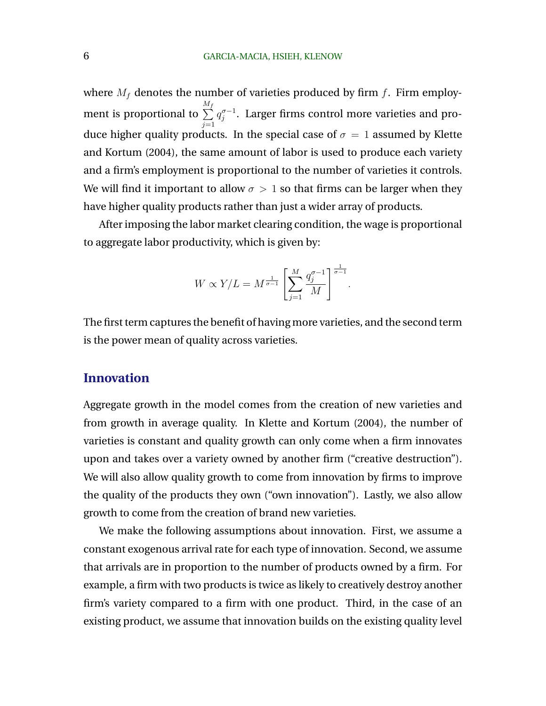where  $M_f$  denotes the number of varieties produced by firm f. Firm employment is proportional to M  $\sum_{I}^{M_f}$  $j=1$  $q_i^{\sigma-1}$  $_{j}^{\sigma-1}$ . Larger firms control more varieties and produce higher quality products. In the special case of  $\sigma = 1$  assumed by Klette and Kortum (2004), the same amount of labor is used to produce each variety and a firm's employment is proportional to the number of varieties it controls. We will find it important to allow  $\sigma > 1$  so that firms can be larger when they have higher quality products rather than just a wider array of products.

After imposing the labor market clearing condition, the wage is proportional to aggregate labor productivity, which is given by:

$$
W \propto Y/L = M^{\frac{1}{\sigma-1}} \left[ \sum_{j=1}^M \frac{q_j^{\sigma-1}}{M} \right]^{\frac{1}{\sigma-1}}.
$$

The first term captures the benefit of having more varieties, and the second term is the power mean of quality across varieties.

### **Innovation**

Aggregate growth in the model comes from the creation of new varieties and from growth in average quality. In Klette and Kortum (2004), the number of varieties is constant and quality growth can only come when a firm innovates upon and takes over a variety owned by another firm ("creative destruction"). We will also allow quality growth to come from innovation by firms to improve the quality of the products they own ("own innovation"). Lastly, we also allow growth to come from the creation of brand new varieties.

We make the following assumptions about innovation. First, we assume a constant exogenous arrival rate for each type of innovation. Second, we assume that arrivals are in proportion to the number of products owned by a firm. For example, a firm with two products is twice as likely to creatively destroy another firm's variety compared to a firm with one product. Third, in the case of an existing product, we assume that innovation builds on the existing quality level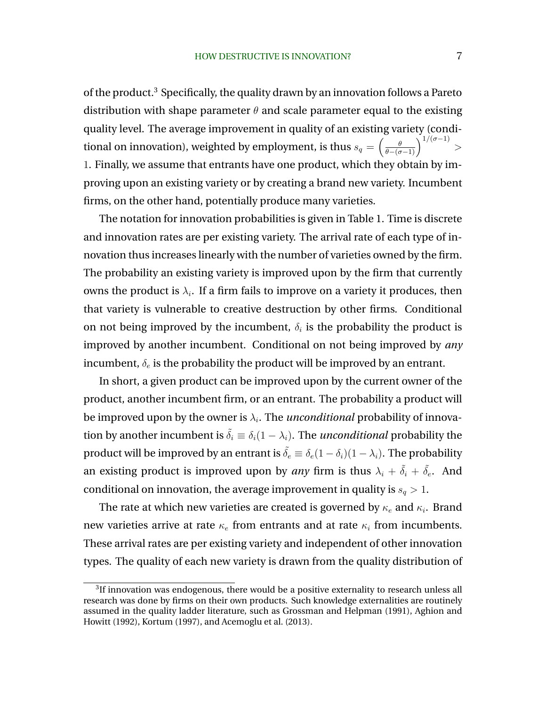of the product.<sup>3</sup> Specifically, the quality drawn by an innovation follows a Pareto distribution with shape parameter  $\theta$  and scale parameter equal to the existing quality level. The average improvement in quality of an existing variety (conditional on innovation), weighted by employment, is thus  $s_q=\left(\frac{\theta}{\theta-(\sigma-1)}\right)^{1/(\sigma-1)}>$ 1. Finally, we assume that entrants have one product, which they obtain by improving upon an existing variety or by creating a brand new variety. Incumbent firms, on the other hand, potentially produce many varieties.

The notation for innovation probabilities is given in Table 1. Time is discrete and innovation rates are per existing variety. The arrival rate of each type of innovation thus increases linearly with the number of varieties owned by the firm. The probability an existing variety is improved upon by the firm that currently owns the product is  $\lambda_i$ . If a firm fails to improve on a variety it produces, then that variety is vulnerable to creative destruction by other firms. Conditional on not being improved by the incumbent,  $\delta_i$  is the probability the product is improved by another incumbent. Conditional on not being improved by *any* incumbent,  $\delta_e$  is the probability the product will be improved by an entrant.

In short, a given product can be improved upon by the current owner of the product, another incumbent firm, or an entrant. The probability a product will be improved upon by the owner is  $\lambda_i$ . The *unconditional* probability of innovation by another incumbent is  $\tilde{\delta}_i \equiv \delta_i(1 - \lambda_i)$ . The *unconditional* probability the product will be improved by an entrant is  $\tilde{\delta}_e \equiv \delta_e(1-\delta_i)(1-\lambda_i)$ . The probability an existing product is improved upon by *any* firm is thus  $\lambda_i + \tilde{\delta}_i + \tilde{\delta}_e$ . And conditional on innovation, the average improvement in quality is  $s_q > 1$ .

The rate at which new varieties are created is governed by  $\kappa_e$  and  $\kappa_i.$  Brand new varieties arrive at rate  $\kappa_e$  from entrants and at rate  $\kappa_i$  from incumbents. These arrival rates are per existing variety and independent of other innovation types. The quality of each new variety is drawn from the quality distribution of

 $31$ f innovation was endogenous, there would be a positive externality to research unless all research was done by firms on their own products. Such knowledge externalities are routinely assumed in the quality ladder literature, such as Grossman and Helpman (1991), Aghion and Howitt (1992), Kortum (1997), and Acemoglu et al. (2013).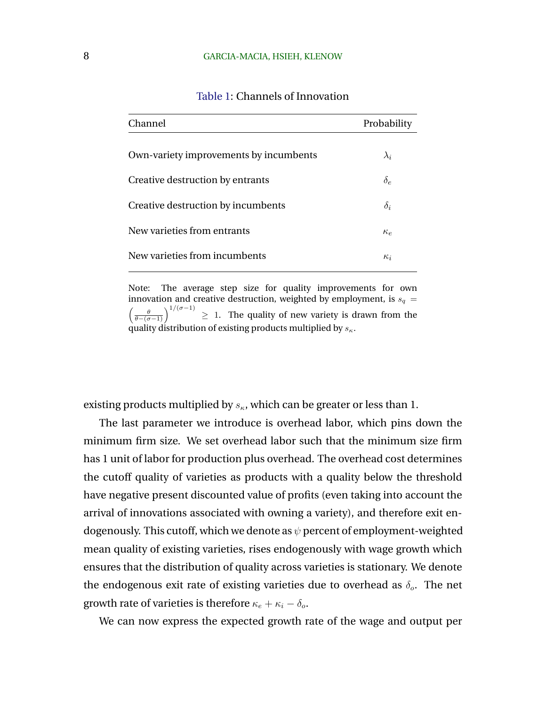| Channel                                | Probability |
|----------------------------------------|-------------|
| Own-variety improvements by incumbents | $\lambda_i$ |
| Creative destruction by entrants       | $\delta_e$  |
| Creative destruction by incumbents     | $\delta_i$  |
| New varieties from entrants            | $\kappa_e$  |
| New varieties from incumbents          | $\kappa_i$  |

### Table 1: Channels of Innovation

Note: The average step size for quality improvements for own innovation and creative destruction, weighted by employment, is  $s_q =$  $\left(\frac{\theta}{\theta-(\sigma-1)}\right)^{1/(\sigma-1)} \geq 1$ . The quality of new variety is drawn from the quality distribution of existing products multiplied by  $s_{\kappa}$ .

existing products multiplied by  $s_{\kappa}$ , which can be greater or less than 1.

The last parameter we introduce is overhead labor, which pins down the minimum firm size. We set overhead labor such that the minimum size firm has 1 unit of labor for production plus overhead. The overhead cost determines the cutoff quality of varieties as products with a quality below the threshold have negative present discounted value of profits (even taking into account the arrival of innovations associated with owning a variety), and therefore exit endogenously. This cutoff, which we denote as  $\psi$  percent of employment-weighted mean quality of existing varieties, rises endogenously with wage growth which ensures that the distribution of quality across varieties is stationary. We denote the endogenous exit rate of existing varieties due to overhead as  $\delta_o$ . The net growth rate of varieties is therefore  $\kappa_e + \kappa_i - \delta_o$ .

We can now express the expected growth rate of the wage and output per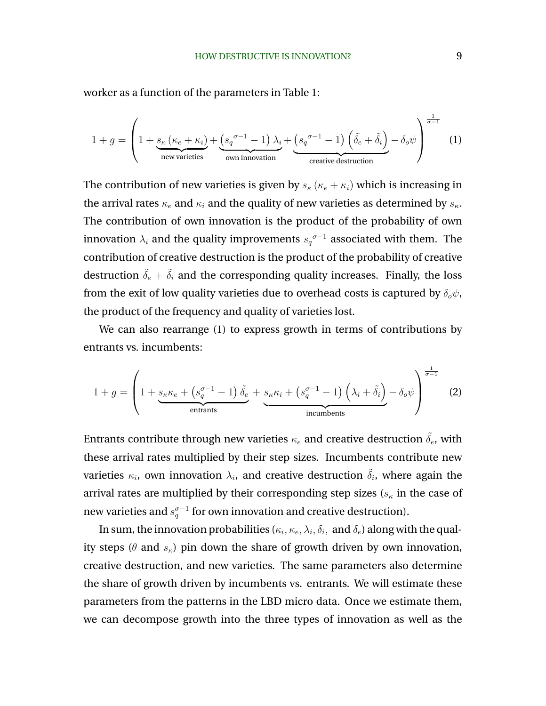worker as a function of the parameters in Table 1:

$$
1 + g = \left(1 + \underbrace{s_{\kappa} (\kappa_e + \kappa_i)}_{\text{new varieties}} + \underbrace{(s_q^{\sigma - 1} - 1) \lambda_i}_{\text{own innovation}} + \underbrace{(s_q^{\sigma - 1} - 1) (\tilde{\delta}_e + \tilde{\delta}_i)}_{\text{createive destruction}} - \delta_o \psi\right)^{\frac{1}{\sigma - 1}} (1)
$$

The contribution of new varieties is given by  $s_{\kappa}$  ( $\kappa_e + \kappa_i$ ) which is increasing in the arrival rates  $\kappa_e$  and  $\kappa_i$  and the quality of new varieties as determined by  $s_{\kappa}$ . The contribution of own innovation is the product of the probability of own innovation  $\lambda_i$  and the quality improvements  $s_q^{\sigma-1}$  associated with them. The contribution of creative destruction is the product of the probability of creative destruction  $\tilde{\delta}_e + \tilde{\delta}_i$  and the corresponding quality increases. Finally, the loss from the exit of low quality varieties due to overhead costs is captured by  $\delta_o \psi$ , the product of the frequency and quality of varieties lost.

We can also rearrange (1) to express growth in terms of contributions by entrants vs. incumbents:

$$
1 + g = \left(1 + \underbrace{s_{\kappa}\kappa_e + \left(s_q^{\sigma-1} - 1\right)\tilde{\delta}_e}_{\text{entrants}} + \underbrace{s_{\kappa}\kappa_i + \left(s_q^{\sigma-1} - 1\right)\left(\lambda_i + \tilde{\delta}_i\right)}_{\text{incumbents}} - \delta_o\psi\right)^{\frac{1}{\sigma-1}} \tag{2}
$$

Entrants contribute through new varieties  $\kappa_e$  and creative destruction  $\tilde{\delta}_e$ , with these arrival rates multiplied by their step sizes. Incumbents contribute new varieties  $\kappa_i$ , own innovation  $\lambda_i$ , and creative destruction  $\tilde{\delta}_i$ , where again the arrival rates are multiplied by their corresponding step sizes ( $s_{\kappa}$  in the case of new varieties and  $s^{\sigma-1}_{q}$  for own innovation and creative destruction).

In sum, the innovation probabilities ( $\kappa_i,\kappa_e,\lambda_i,\delta_i, \text{ and } \delta_e$ ) along with the quality steps ( $\theta$  and  $s_{\kappa}$ ) pin down the share of growth driven by own innovation, creative destruction, and new varieties. The same parameters also determine the share of growth driven by incumbents vs. entrants. We will estimate these parameters from the patterns in the LBD micro data. Once we estimate them, we can decompose growth into the three types of innovation as well as the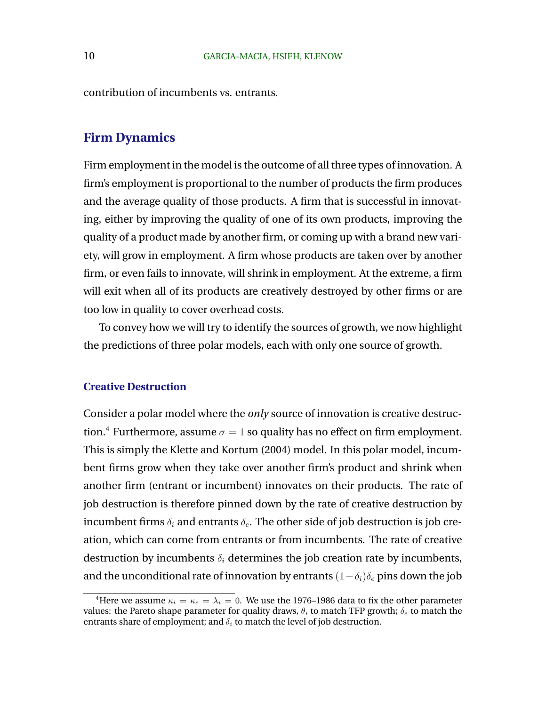contribution of incumbents vs. entrants.

### **Firm Dynamics**

Firm employment in the model is the outcome of all three types of innovation. A firm's employment is proportional to the number of products the firm produces and the average quality of those products. A firm that is successful in innovating, either by improving the quality of one of its own products, improving the quality of a product made by another firm, or coming up with a brand new variety, will grow in employment. A firm whose products are taken over by another firm, or even fails to innovate, will shrink in employment. At the extreme, a firm will exit when all of its products are creatively destroyed by other firms or are too low in quality to cover overhead costs.

To convey how we will try to identify the sources of growth, we now highlight the predictions of three polar models, each with only one source of growth.

### **Creative Destruction**

Consider a polar model where the *only* source of innovation is creative destruction.<sup>4</sup> Furthermore, assume  $\sigma = 1$  so quality has no effect on firm employment. This is simply the Klette and Kortum (2004) model. In this polar model, incumbent firms grow when they take over another firm's product and shrink when another firm (entrant or incumbent) innovates on their products. The rate of job destruction is therefore pinned down by the rate of creative destruction by incumbent firms  $\delta_i$  and entrants  $\delta_e$ . The other side of job destruction is job creation, which can come from entrants or from incumbents. The rate of creative destruction by incumbents  $\delta_i$  determines the job creation rate by incumbents, and the unconditional rate of innovation by entrants  $(1-\delta_i)\delta_e$  pins down the job

<sup>&</sup>lt;sup>4</sup>Here we assume  $\kappa_i = \kappa_e = \lambda_i = 0$ . We use the 1976–1986 data to fix the other parameter values: the Pareto shape parameter for quality draws,  $\theta$ , to match TFP growth;  $\delta_e$  to match the entrants share of employment; and  $\delta_i$  to match the level of job destruction.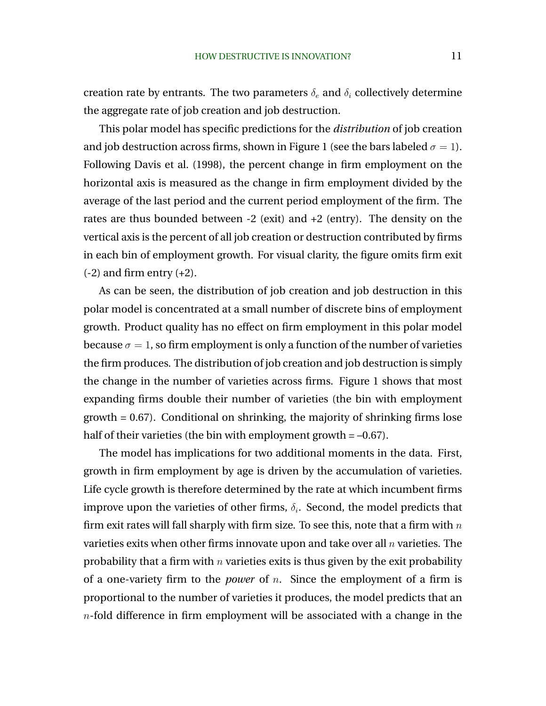creation rate by entrants. The two parameters  $\delta_e$  and  $\delta_i$  collectively determine the aggregate rate of job creation and job destruction.

This polar model has specific predictions for the *distribution* of job creation and job destruction across firms, shown in Figure 1 (see the bars labeled  $\sigma = 1$ ). Following Davis et al. (1998), the percent change in firm employment on the horizontal axis is measured as the change in firm employment divided by the average of the last period and the current period employment of the firm. The rates are thus bounded between  $-2$  (exit) and  $+2$  (entry). The density on the vertical axis is the percent of all job creation or destruction contributed by firms in each bin of employment growth. For visual clarity, the figure omits firm exit  $(-2)$  and firm entry  $(+2)$ .

As can be seen, the distribution of job creation and job destruction in this polar model is concentrated at a small number of discrete bins of employment growth. Product quality has no effect on firm employment in this polar model because  $\sigma = 1$ , so firm employment is only a function of the number of varieties the firm produces. The distribution of job creation and job destruction is simply the change in the number of varieties across firms. Figure 1 shows that most expanding firms double their number of varieties (the bin with employment growth = 0.67). Conditional on shrinking, the majority of shrinking firms lose half of their varieties (the bin with employment growth  $= -0.67$ ).

The model has implications for two additional moments in the data. First, growth in firm employment by age is driven by the accumulation of varieties. Life cycle growth is therefore determined by the rate at which incumbent firms improve upon the varieties of other firms,  $\delta_i$ . Second, the model predicts that firm exit rates will fall sharply with firm size. To see this, note that a firm with  $n$ varieties exits when other firms innovate upon and take over all  $n$  varieties. The probability that a firm with  $n$  varieties exits is thus given by the exit probability of a one-variety firm to the *power* of n. Since the employment of a firm is proportional to the number of varieties it produces, the model predicts that an  $n$ -fold difference in firm employment will be associated with a change in the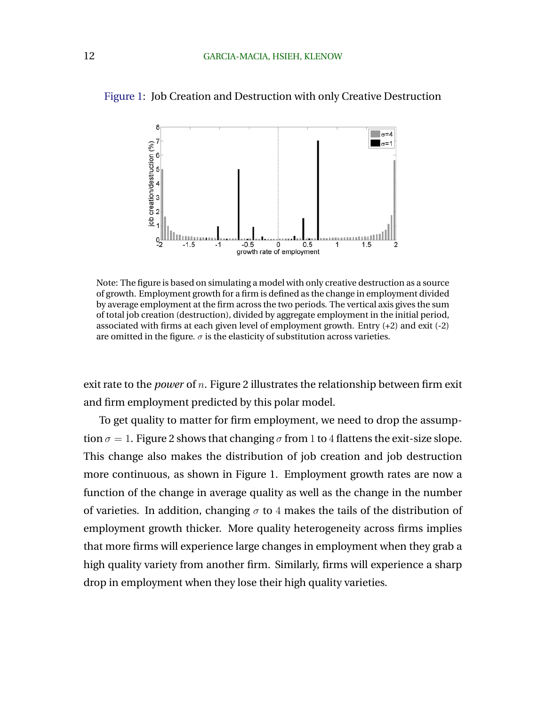

Figure 1: Job Creation and Destruction with only Creative Destruction

Note: The figure is based on simulating a model with only creative destruction as a source of growth. Employment growth for a firm is defined as the change in employment divided by average employment at the firm across the two periods. The vertical axis gives the sum of total job creation (destruction), divided by aggregate employment in the initial period, associated with firms at each given level of employment growth. Entry (+2) and exit (-2) are omitted in the figure.  $\sigma$  is the elasticity of substitution across varieties.

exit rate to the *power* of n. Figure 2 illustrates the relationship between firm exit and firm employment predicted by this polar model.

To get quality to matter for firm employment, we need to drop the assumption  $\sigma = 1$ . Figure 2 shows that changing  $\sigma$  from 1 to 4 flattens the exit-size slope. This change also makes the distribution of job creation and job destruction more continuous, as shown in Figure 1. Employment growth rates are now a function of the change in average quality as well as the change in the number of varieties. In addition, changing  $\sigma$  to 4 makes the tails of the distribution of employment growth thicker. More quality heterogeneity across firms implies that more firms will experience large changes in employment when they grab a high quality variety from another firm. Similarly, firms will experience a sharp drop in employment when they lose their high quality varieties.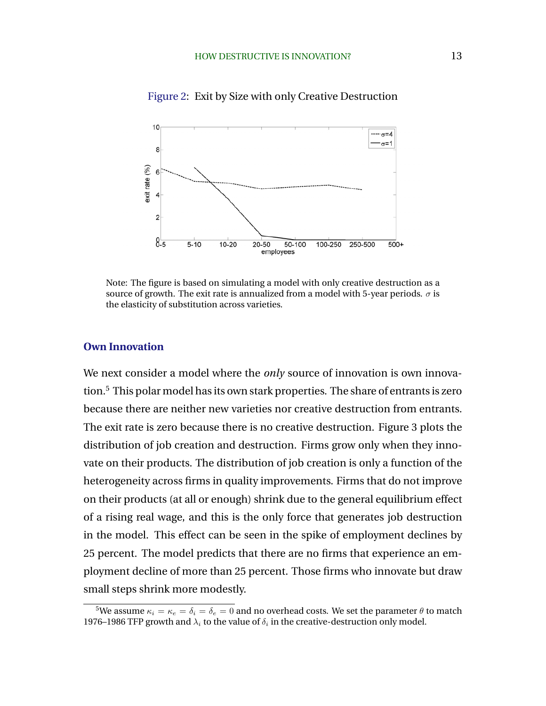

Figure 2: Exit by Size with only Creative Destruction

Note: The figure is based on simulating a model with only creative destruction as a source of growth. The exit rate is annualized from a model with 5-year periods.  $\sigma$  is the elasticity of substitution across varieties.

### **Own Innovation**

We next consider a model where the *only* source of innovation is own innovation.<sup>5</sup> This polar model has its own stark properties. The share of entrants is zero because there are neither new varieties nor creative destruction from entrants. The exit rate is zero because there is no creative destruction. Figure 3 plots the distribution of job creation and destruction. Firms grow only when they innovate on their products. The distribution of job creation is only a function of the heterogeneity across firms in quality improvements. Firms that do not improve on their products (at all or enough) shrink due to the general equilibrium effect of a rising real wage, and this is the only force that generates job destruction in the model. This effect can be seen in the spike of employment declines by 25 percent. The model predicts that there are no firms that experience an employment decline of more than 25 percent. Those firms who innovate but draw small steps shrink more modestly.

<sup>&</sup>lt;sup>5</sup>We assume  $\kappa_i = \kappa_e = \delta_i = \delta_e = 0$  and no overhead costs. We set the parameter  $\theta$  to match 1976–1986 TFP growth and  $\lambda_i$  to the value of  $\delta_i$  in the creative-destruction only model.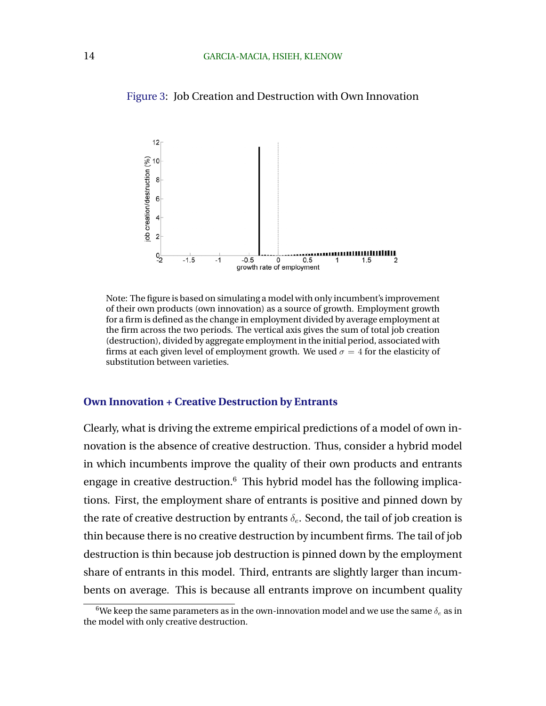Figure 3: Job Creation and Destruction with Own Innovation



Note: The figure is based on simulating a model with only incumbent's improvement of their own products (own innovation) as a source of growth. Employment growth for a firm is defined as the change in employment divided by average employment at the firm across the two periods. The vertical axis gives the sum of total job creation (destruction), divided by aggregate employment in the initial period, associated with firms at each given level of employment growth. We used  $\sigma = 4$  for the elasticity of substitution between varieties.

### **Own Innovation + Creative Destruction by Entrants**

Clearly, what is driving the extreme empirical predictions of a model of own innovation is the absence of creative destruction. Thus, consider a hybrid model in which incumbents improve the quality of their own products and entrants engage in creative destruction. $6$  This hybrid model has the following implications. First, the employment share of entrants is positive and pinned down by the rate of creative destruction by entrants  $\delta_e$ . Second, the tail of job creation is thin because there is no creative destruction by incumbent firms. The tail of job destruction is thin because job destruction is pinned down by the employment share of entrants in this model. Third, entrants are slightly larger than incumbents on average. This is because all entrants improve on incumbent quality

<sup>&</sup>lt;sup>6</sup>We keep the same parameters as in the own-innovation model and we use the same  $\delta_e$  as in the model with only creative destruction.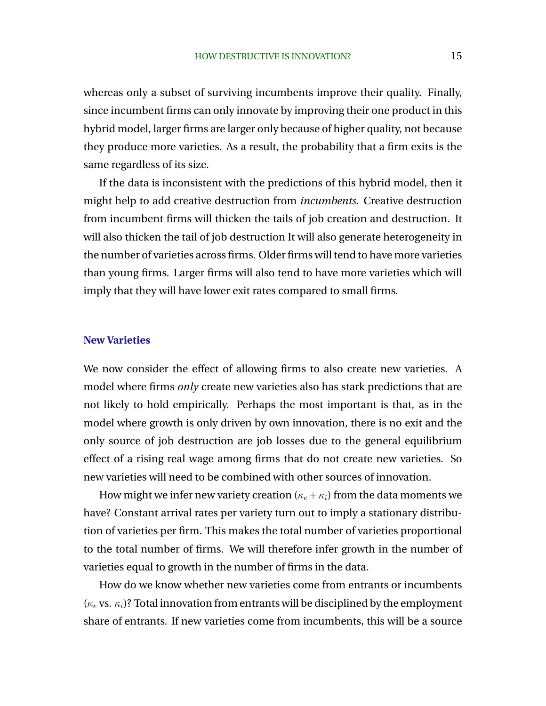whereas only a subset of surviving incumbents improve their quality. Finally, since incumbent firms can only innovate by improving their one product in this hybrid model, larger firms are larger only because of higher quality, not because they produce more varieties. As a result, the probability that a firm exits is the same regardless of its size.

If the data is inconsistent with the predictions of this hybrid model, then it might help to add creative destruction from *incumbents*. Creative destruction from incumbent firms will thicken the tails of job creation and destruction. It will also thicken the tail of job destruction It will also generate heterogeneity in the number of varieties across firms. Older firms will tend to have more varieties than young firms. Larger firms will also tend to have more varieties which will imply that they will have lower exit rates compared to small firms.

### **New Varieties**

We now consider the effect of allowing firms to also create new varieties. A model where firms *only* create new varieties also has stark predictions that are not likely to hold empirically. Perhaps the most important is that, as in the model where growth is only driven by own innovation, there is no exit and the only source of job destruction are job losses due to the general equilibrium effect of a rising real wage among firms that do not create new varieties. So new varieties will need to be combined with other sources of innovation.

How might we infer new variety creation ( $\kappa_e + \kappa_i$ ) from the data moments we have? Constant arrival rates per variety turn out to imply a stationary distribution of varieties per firm. This makes the total number of varieties proportional to the total number of firms. We will therefore infer growth in the number of varieties equal to growth in the number of firms in the data.

How do we know whether new varieties come from entrants or incumbents ( $\kappa_e$  vs.  $\kappa_i$ )? Total innovation from entrants will be disciplined by the employment share of entrants. If new varieties come from incumbents, this will be a source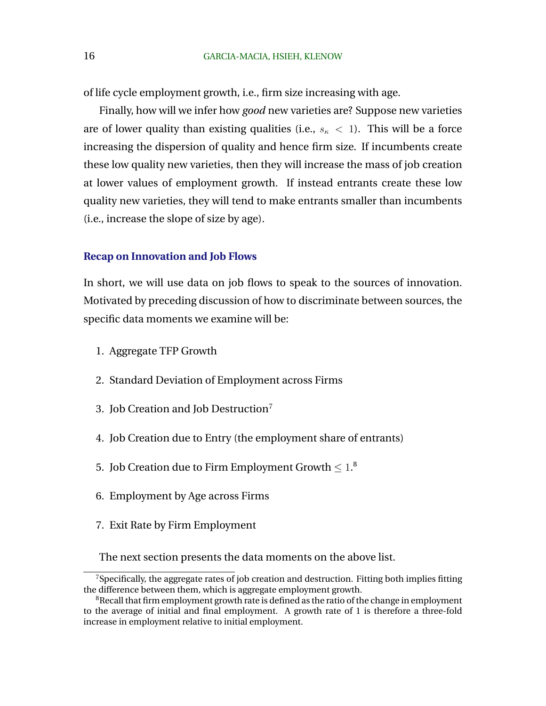of life cycle employment growth, i.e., firm size increasing with age.

Finally, how will we infer how *good* new varieties are? Suppose new varieties are of lower quality than existing qualities (i.e.,  $s_{\kappa}$  < 1). This will be a force increasing the dispersion of quality and hence firm size. If incumbents create these low quality new varieties, then they will increase the mass of job creation at lower values of employment growth. If instead entrants create these low quality new varieties, they will tend to make entrants smaller than incumbents (i.e., increase the slope of size by age).

#### **Recap on Innovation and Job Flows**

In short, we will use data on job flows to speak to the sources of innovation. Motivated by preceding discussion of how to discriminate between sources, the specific data moments we examine will be:

- 1. Aggregate TFP Growth
- 2. Standard Deviation of Employment across Firms
- 3. Job Creation and Job Destruction<sup>7</sup>
- 4. Job Creation due to Entry (the employment share of entrants)
- 5. Job Creation due to Firm Employment Growth  $\leq 1.8$
- 6. Employment by Age across Firms
- 7. Exit Rate by Firm Employment

The next section presents the data moments on the above list.

 $7$ Specifically, the aggregate rates of job creation and destruction. Fitting both implies fitting the difference between them, which is aggregate employment growth.

 $8$ Recall that firm employment growth rate is defined as the ratio of the change in employment to the average of initial and final employment. A growth rate of 1 is therefore a three-fold increase in employment relative to initial employment.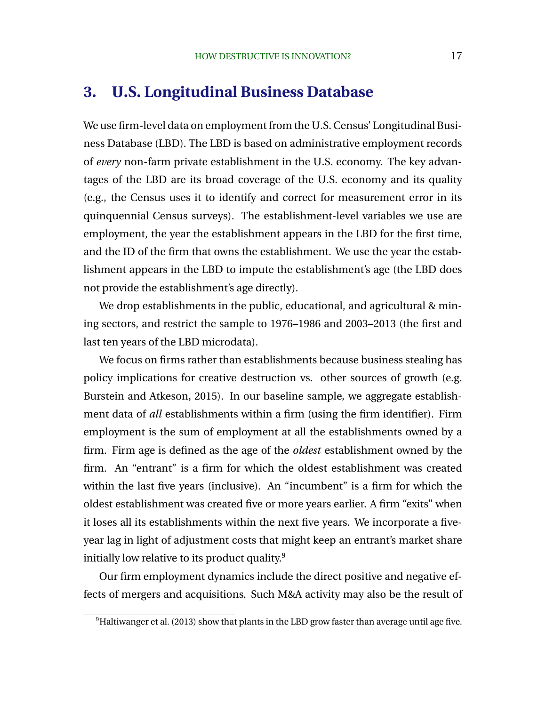### **3. U.S. Longitudinal Business Database**

We use firm-level data on employment from the U.S. Census' Longitudinal Business Database (LBD). The LBD is based on administrative employment records of *every* non-farm private establishment in the U.S. economy. The key advantages of the LBD are its broad coverage of the U.S. economy and its quality (e.g., the Census uses it to identify and correct for measurement error in its quinquennial Census surveys). The establishment-level variables we use are employment, the year the establishment appears in the LBD for the first time, and the ID of the firm that owns the establishment. We use the year the establishment appears in the LBD to impute the establishment's age (the LBD does not provide the establishment's age directly).

We drop establishments in the public, educational, and agricultural & mining sectors, and restrict the sample to 1976–1986 and 2003–2013 (the first and last ten years of the LBD microdata).

We focus on firms rather than establishments because business stealing has policy implications for creative destruction vs. other sources of growth (e.g. Burstein and Atkeson, 2015). In our baseline sample, we aggregate establishment data of *all* establishments within a firm (using the firm identifier). Firm employment is the sum of employment at all the establishments owned by a firm. Firm age is defined as the age of the *oldest* establishment owned by the firm. An "entrant" is a firm for which the oldest establishment was created within the last five years (inclusive). An "incumbent" is a firm for which the oldest establishment was created five or more years earlier. A firm "exits" when it loses all its establishments within the next five years. We incorporate a fiveyear lag in light of adjustment costs that might keep an entrant's market share initially low relative to its product quality.<sup>9</sup>

Our firm employment dynamics include the direct positive and negative effects of mergers and acquisitions. Such M&A activity may also be the result of

 $9$ Haltiwanger et al. (2013) show that plants in the LBD grow faster than average until age five.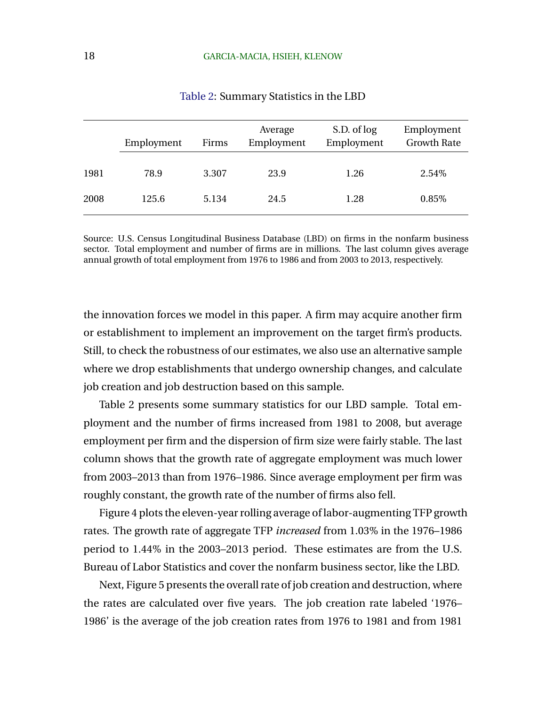|      | Employment | Firms | Average<br>Employment | S.D. of log<br>Employment | Employment<br><b>Growth Rate</b> |
|------|------------|-------|-----------------------|---------------------------|----------------------------------|
| 1981 | 78.9       | 3.307 | 23.9                  | 1.26                      | 2.54%                            |
| 2008 | 125.6      | 5.134 | 24.5                  | 1.28                      | 0.85%                            |

Table 2: Summary Statistics in the LBD

Source: U.S. Census Longitudinal Business Database (LBD) on firms in the nonfarm business sector. Total employment and number of firms are in millions. The last column gives average annual growth of total employment from 1976 to 1986 and from 2003 to 2013, respectively.

the innovation forces we model in this paper. A firm may acquire another firm or establishment to implement an improvement on the target firm's products. Still, to check the robustness of our estimates, we also use an alternative sample where we drop establishments that undergo ownership changes, and calculate job creation and job destruction based on this sample.

Table 2 presents some summary statistics for our LBD sample. Total employment and the number of firms increased from 1981 to 2008, but average employment per firm and the dispersion of firm size were fairly stable. The last column shows that the growth rate of aggregate employment was much lower from 2003–2013 than from 1976–1986. Since average employment per firm was roughly constant, the growth rate of the number of firms also fell.

Figure 4 plots the eleven-year rolling average of labor-augmenting TFP growth rates. The growth rate of aggregate TFP *increased* from 1.03% in the 1976–1986 period to 1.44% in the 2003–2013 period. These estimates are from the U.S. Bureau of Labor Statistics and cover the nonfarm business sector, like the LBD.

Next, Figure 5 presents the overall rate of job creation and destruction, where the rates are calculated over five years. The job creation rate labeled '1976– 1986' is the average of the job creation rates from 1976 to 1981 and from 1981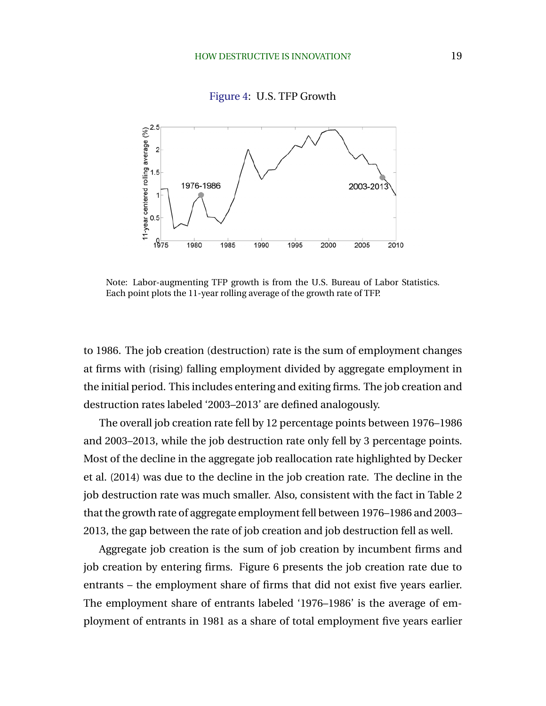Figure 4: U.S. TFP Growth



Note: Labor-augmenting TFP growth is from the U.S. Bureau of Labor Statistics. Each point plots the 11-year rolling average of the growth rate of TFP.

to 1986. The job creation (destruction) rate is the sum of employment changes at firms with (rising) falling employment divided by aggregate employment in the initial period. This includes entering and exiting firms. The job creation and destruction rates labeled '2003–2013' are defined analogously.

The overall job creation rate fell by 12 percentage points between 1976–1986 and 2003–2013, while the job destruction rate only fell by 3 percentage points. Most of the decline in the aggregate job reallocation rate highlighted by Decker et al. (2014) was due to the decline in the job creation rate. The decline in the job destruction rate was much smaller. Also, consistent with the fact in Table 2 that the growth rate of aggregate employment fell between 1976–1986 and 2003– 2013, the gap between the rate of job creation and job destruction fell as well.

Aggregate job creation is the sum of job creation by incumbent firms and job creation by entering firms. Figure 6 presents the job creation rate due to entrants – the employment share of firms that did not exist five years earlier. The employment share of entrants labeled '1976–1986' is the average of employment of entrants in 1981 as a share of total employment five years earlier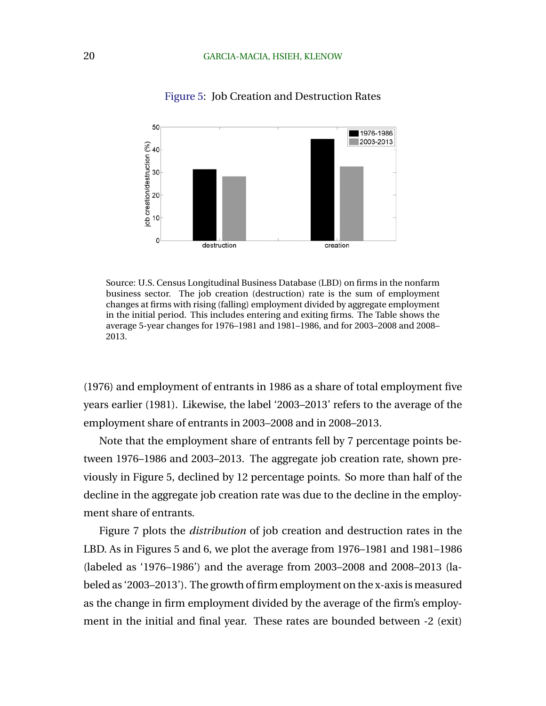

#### Figure 5: Job Creation and Destruction Rates

Source: U.S. Census Longitudinal Business Database (LBD) on firms in the nonfarm business sector. The job creation (destruction) rate is the sum of employment changes at firms with rising (falling) employment divided by aggregate employment in the initial period. This includes entering and exiting firms. The Table shows the average 5-year changes for 1976–1981 and 1981–1986, and for 2003–2008 and 2008– 2013.

(1976) and employment of entrants in 1986 as a share of total employment five years earlier (1981). Likewise, the label '2003–2013' refers to the average of the employment share of entrants in 2003–2008 and in 2008–2013.

Note that the employment share of entrants fell by 7 percentage points between 1976–1986 and 2003–2013. The aggregate job creation rate, shown previously in Figure 5, declined by 12 percentage points. So more than half of the decline in the aggregate job creation rate was due to the decline in the employment share of entrants.

Figure 7 plots the *distribution* of job creation and destruction rates in the LBD. As in Figures 5 and 6, we plot the average from 1976–1981 and 1981–1986 (labeled as '1976–1986') and the average from 2003–2008 and 2008–2013 (labeled as '2003–2013'). The growth of firm employment on the x-axis is measured as the change in firm employment divided by the average of the firm's employment in the initial and final year. These rates are bounded between -2 (exit)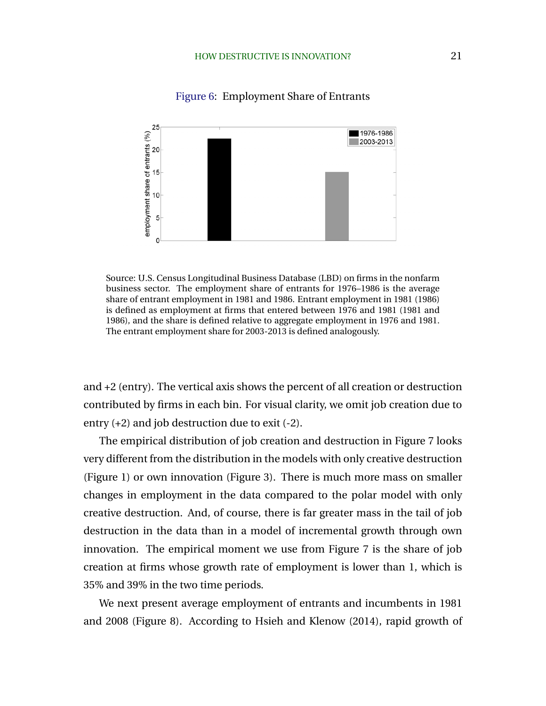

#### Figure 6: Employment Share of Entrants

Source: U.S. Census Longitudinal Business Database (LBD) on firms in the nonfarm business sector. The employment share of entrants for 1976–1986 is the average share of entrant employment in 1981 and 1986. Entrant employment in 1981 (1986) is defined as employment at firms that entered between 1976 and 1981 (1981 and 1986), and the share is defined relative to aggregate employment in 1976 and 1981. The entrant employment share for 2003-2013 is defined analogously.

and +2 (entry). The vertical axis shows the percent of all creation or destruction contributed by firms in each bin. For visual clarity, we omit job creation due to entry (+2) and job destruction due to exit (-2).

The empirical distribution of job creation and destruction in Figure 7 looks very different from the distribution in the models with only creative destruction (Figure 1) or own innovation (Figure 3). There is much more mass on smaller changes in employment in the data compared to the polar model with only creative destruction. And, of course, there is far greater mass in the tail of job destruction in the data than in a model of incremental growth through own innovation. The empirical moment we use from Figure 7 is the share of job creation at firms whose growth rate of employment is lower than 1, which is 35% and 39% in the two time periods.

We next present average employment of entrants and incumbents in 1981 and 2008 (Figure 8). According to Hsieh and Klenow (2014), rapid growth of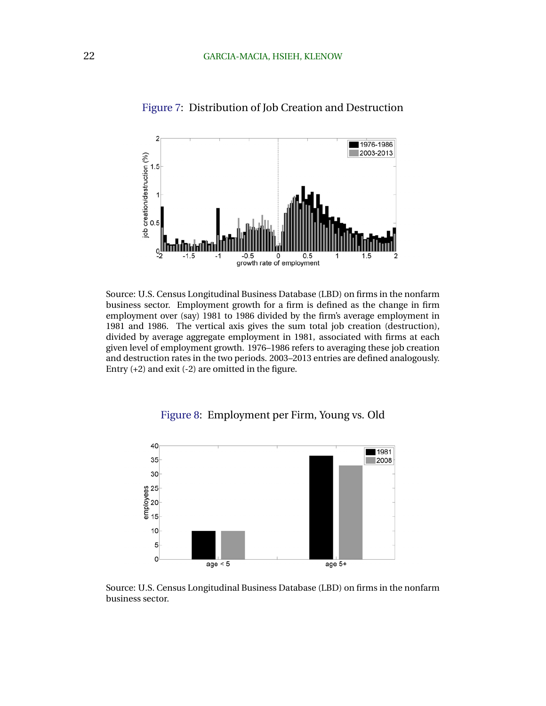

Figure 7: Distribution of Job Creation and Destruction

Source: U.S. Census Longitudinal Business Database (LBD) on firms in the nonfarm business sector. Employment growth for a firm is defined as the change in firm employment over (say) 1981 to 1986 divided by the firm's average employment in 1981 and 1986. The vertical axis gives the sum total job creation (destruction), divided by average aggregate employment in 1981, associated with firms at each given level of employment growth. 1976–1986 refers to averaging these job creation and destruction rates in the two periods. 2003–2013 entries are defined analogously. Entry (+2) and exit (-2) are omitted in the figure.



Figure 8: Employment per Firm, Young vs. Old

Source: U.S. Census Longitudinal Business Database (LBD) on firms in the nonfarm business sector.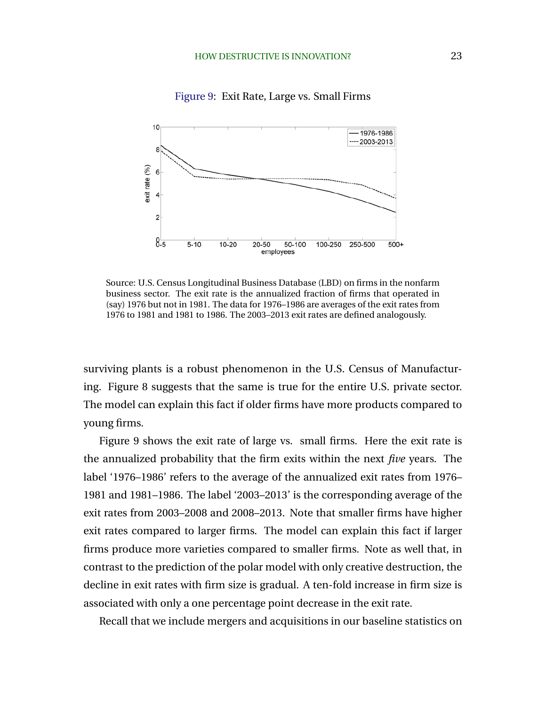

Figure 9: Exit Rate, Large vs. Small Firms

Source: U.S. Census Longitudinal Business Database (LBD) on firms in the nonfarm business sector. The exit rate is the annualized fraction of firms that operated in (say) 1976 but not in 1981. The data for 1976–1986 are averages of the exit rates from 1976 to 1981 and 1981 to 1986. The 2003–2013 exit rates are defined analogously.

surviving plants is a robust phenomenon in the U.S. Census of Manufacturing. Figure 8 suggests that the same is true for the entire U.S. private sector. The model can explain this fact if older firms have more products compared to young firms.

Figure 9 shows the exit rate of large vs. small firms. Here the exit rate is the annualized probability that the firm exits within the next *five* years. The label '1976–1986' refers to the average of the annualized exit rates from 1976– 1981 and 1981–1986. The label '2003–2013' is the corresponding average of the exit rates from 2003–2008 and 2008–2013. Note that smaller firms have higher exit rates compared to larger firms. The model can explain this fact if larger firms produce more varieties compared to smaller firms. Note as well that, in contrast to the prediction of the polar model with only creative destruction, the decline in exit rates with firm size is gradual. A ten-fold increase in firm size is associated with only a one percentage point decrease in the exit rate.

Recall that we include mergers and acquisitions in our baseline statistics on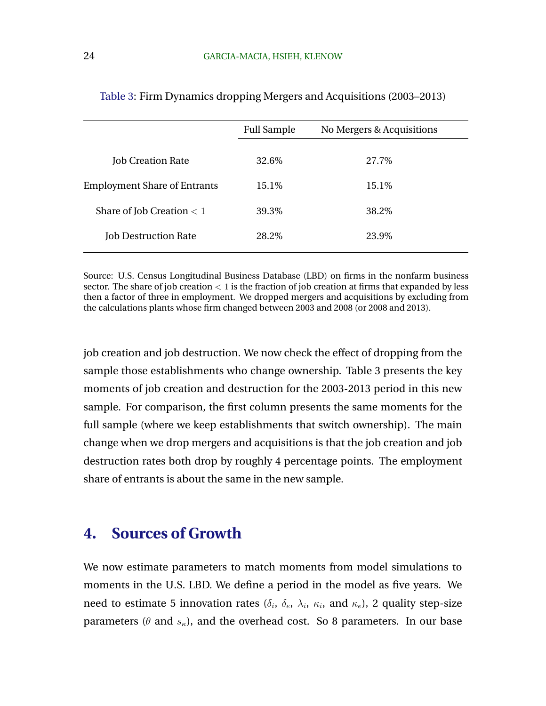|                                     | <b>Full Sample</b> | No Mergers & Acquisitions |  |
|-------------------------------------|--------------------|---------------------------|--|
| <b>Job Creation Rate</b>            | 32.6\%             | 27.7%                     |  |
| <b>Employment Share of Entrants</b> | 15.1\%             | 15.1\%                    |  |
| Share of Job Creation $< 1$         | 39.3%              | 38.2\%                    |  |
| <b>Job Destruction Rate</b>         | 28.2\%             | 23.9%                     |  |

Table 3: Firm Dynamics dropping Mergers and Acquisitions (2003–2013)

Source: U.S. Census Longitudinal Business Database (LBD) on firms in the nonfarm business sector. The share of job creation  $\lt 1$  is the fraction of job creation at firms that expanded by less then a factor of three in employment. We dropped mergers and acquisitions by excluding from the calculations plants whose firm changed between 2003 and 2008 (or 2008 and 2013).

job creation and job destruction. We now check the effect of dropping from the sample those establishments who change ownership. Table 3 presents the key moments of job creation and destruction for the 2003-2013 period in this new sample. For comparison, the first column presents the same moments for the full sample (where we keep establishments that switch ownership). The main change when we drop mergers and acquisitions is that the job creation and job destruction rates both drop by roughly 4 percentage points. The employment share of entrants is about the same in the new sample.

## **4. Sources of Growth**

We now estimate parameters to match moments from model simulations to moments in the U.S. LBD. We define a period in the model as five years. We need to estimate 5 innovation rates ( $\delta_i$ ,  $\delta_e$ ,  $\lambda_i$ ,  $\kappa_i$ , and  $\kappa_e$ ), 2 quality step-size parameters ( $\theta$  and  $s_{\kappa}$ ), and the overhead cost. So 8 parameters. In our base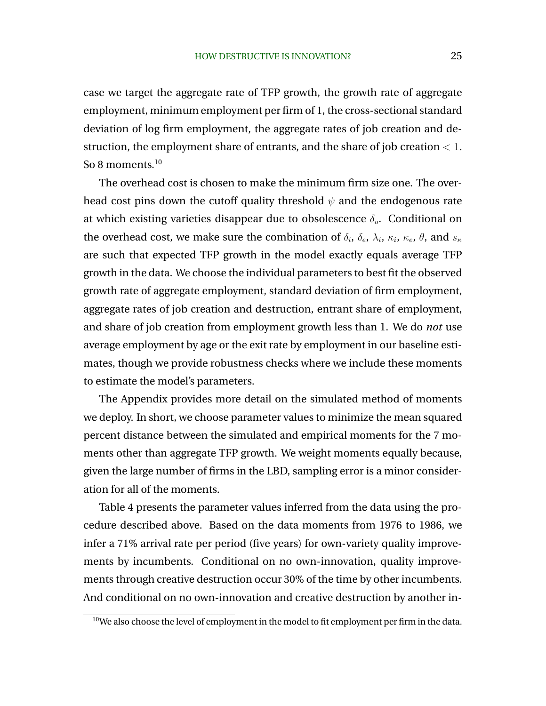case we target the aggregate rate of TFP growth, the growth rate of aggregate employment, minimum employment per firm of 1, the cross-sectional standard deviation of log firm employment, the aggregate rates of job creation and destruction, the employment share of entrants, and the share of job creation  $< 1$ . So 8 moments. $10$ 

The overhead cost is chosen to make the minimum firm size one. The overhead cost pins down the cutoff quality threshold  $\psi$  and the endogenous rate at which existing varieties disappear due to obsolescence  $\delta_{o}$ . Conditional on the overhead cost, we make sure the combination of  $\delta_i$ ,  $\delta_e$ ,  $\lambda_i$ ,  $\kappa_i$ ,  $\kappa_e$ ,  $\theta$ , and  $s_{\kappa}$ are such that expected TFP growth in the model exactly equals average TFP growth in the data. We choose the individual parameters to best fit the observed growth rate of aggregate employment, standard deviation of firm employment, aggregate rates of job creation and destruction, entrant share of employment, and share of job creation from employment growth less than 1. We do *not* use average employment by age or the exit rate by employment in our baseline estimates, though we provide robustness checks where we include these moments to estimate the model's parameters.

The Appendix provides more detail on the simulated method of moments we deploy. In short, we choose parameter values to minimize the mean squared percent distance between the simulated and empirical moments for the 7 moments other than aggregate TFP growth. We weight moments equally because, given the large number of firms in the LBD, sampling error is a minor consideration for all of the moments.

Table 4 presents the parameter values inferred from the data using the procedure described above. Based on the data moments from 1976 to 1986, we infer a 71% arrival rate per period (five years) for own-variety quality improvements by incumbents. Conditional on no own-innovation, quality improvements through creative destruction occur 30% of the time by other incumbents. And conditional on no own-innovation and creative destruction by another in-

<sup>&</sup>lt;sup>10</sup>We also choose the level of employment in the model to fit employment per firm in the data.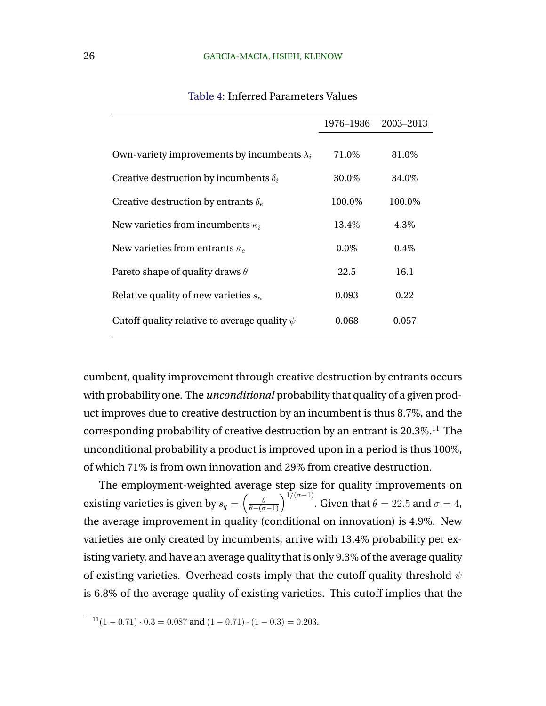|                                                    | 1976–1986 | 2003-2013 |
|----------------------------------------------------|-----------|-----------|
| Own-variety improvements by incumbents $\lambda_i$ | 71.0\%    | 81.0\%    |
| Creative destruction by incumbents $\delta_i$      | 30.0%     | 34.0%     |
| Creative destruction by entrants $\delta_e$        | 100.0%    | 100.0%    |
| New varieties from incumbents $\kappa_i$           | 13.4%     | 4.3%      |
| New varieties from entrants $\kappa_e$             | $0.0\%$   | 0.4%      |
| Pareto shape of quality draws $\theta$             | 22.5      | 16.1      |
| Relative quality of new varieties $s_{\kappa}$     | 0.093     | 0.22      |
| Cutoff quality relative to average quality $\psi$  | 0.068     | 0.057     |

### Table 4: Inferred Parameters Values

cumbent, quality improvement through creative destruction by entrants occurs with probability one. The *unconditional* probability that quality of a given product improves due to creative destruction by an incumbent is thus 8.7%, and the corresponding probability of creative destruction by an entrant is  $20.3\%$ <sup>11</sup>. The unconditional probability a product is improved upon in a period is thus 100%, of which 71% is from own innovation and 29% from creative destruction.

The employment-weighted average step size for quality improvements on existing varieties is given by  $s_q=\left(\frac{\theta}{\theta-(\sigma-1)}\right)^{1/(\sigma-1)}$ . Given that  $\theta=22.5$  and  $\sigma=4$ , the average improvement in quality (conditional on innovation) is 4.9%. New varieties are only created by incumbents, arrive with 13.4% probability per existing variety, and have an average quality that is only 9.3% of the average quality of existing varieties. Overhead costs imply that the cutoff quality threshold  $\psi$ is 6.8% of the average quality of existing varieties. This cutoff implies that the

 $11(1 - 0.71) \cdot 0.3 = 0.087$  and  $(1 - 0.71) \cdot (1 - 0.3) = 0.203$ .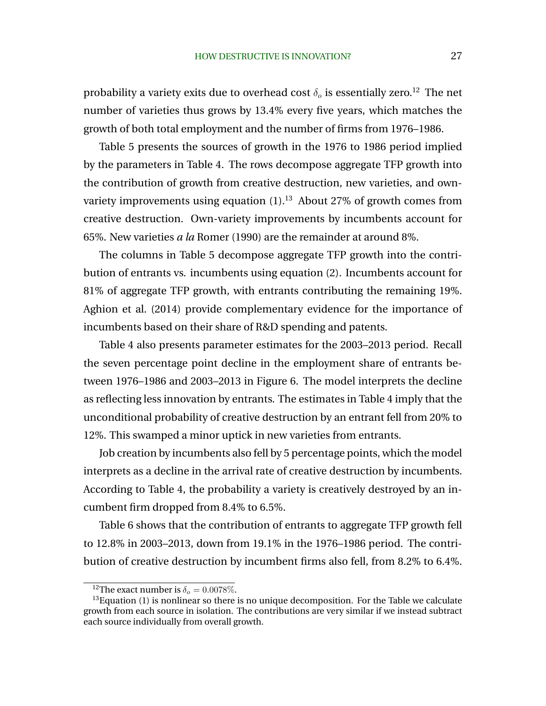probability a variety exits due to overhead cost  $\delta_o$  is essentially zero.<sup>12</sup> The net number of varieties thus grows by 13.4% every five years, which matches the growth of both total employment and the number of firms from 1976–1986.

Table 5 presents the sources of growth in the 1976 to 1986 period implied by the parameters in Table 4. The rows decompose aggregate TFP growth into the contribution of growth from creative destruction, new varieties, and ownvariety improvements using equation  $(1)$ .<sup>13</sup> About 27% of growth comes from creative destruction. Own-variety improvements by incumbents account for 65%. New varieties *a la* Romer (1990) are the remainder at around 8%.

The columns in Table 5 decompose aggregate TFP growth into the contribution of entrants vs. incumbents using equation (2). Incumbents account for 81% of aggregate TFP growth, with entrants contributing the remaining 19%. Aghion et al. (2014) provide complementary evidence for the importance of incumbents based on their share of R&D spending and patents.

Table 4 also presents parameter estimates for the 2003–2013 period. Recall the seven percentage point decline in the employment share of entrants between 1976–1986 and 2003–2013 in Figure 6. The model interprets the decline as reflecting less innovation by entrants. The estimates in Table 4 imply that the unconditional probability of creative destruction by an entrant fell from 20% to 12%. This swamped a minor uptick in new varieties from entrants.

Job creation by incumbents also fell by 5 percentage points, which the model interprets as a decline in the arrival rate of creative destruction by incumbents. According to Table 4, the probability a variety is creatively destroyed by an incumbent firm dropped from 8.4% to 6.5%.

Table 6 shows that the contribution of entrants to aggregate TFP growth fell to 12.8% in 2003–2013, down from 19.1% in the 1976–1986 period. The contribution of creative destruction by incumbent firms also fell, from 8.2% to 6.4%.

<sup>&</sup>lt;sup>12</sup>The exact number is  $\delta_o = 0.0078\%.$ 

 $13$  Equation (1) is nonlinear so there is no unique decomposition. For the Table we calculate growth from each source in isolation. The contributions are very similar if we instead subtract each source individually from overall growth.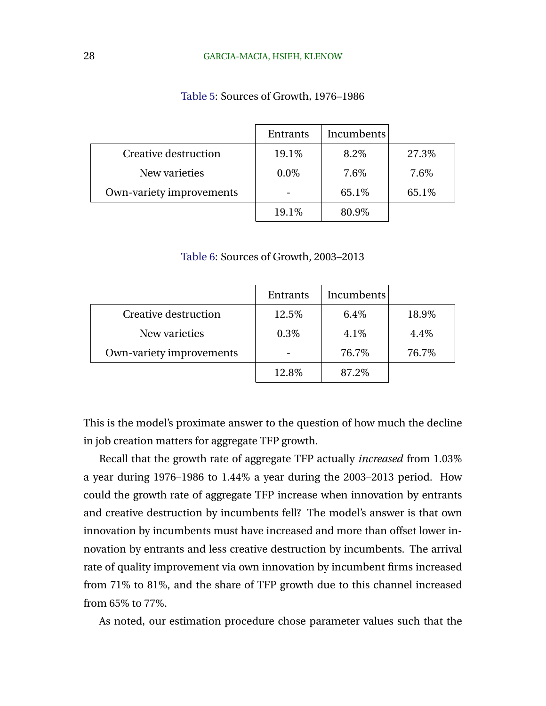|                          | Entrants | Incumbents |       |
|--------------------------|----------|------------|-------|
| Creative destruction     | 19.1%    | 8.2%       | 27.3% |
| New varieties            | $0.0\%$  | 7.6%       | 7.6%  |
| Own-variety improvements |          | 65.1%      | 65.1% |
|                          | 19.1%    | 80.9%      |       |

### Table 5: Sources of Growth, 1976–1986

Table 6: Sources of Growth, 2003–2013

|                          | Entrants | Incumbents |       |
|--------------------------|----------|------------|-------|
| Creative destruction     | 12.5%    | 6.4%       | 18.9% |
| New varieties            | 0.3%     | 4.1%       | 4.4%  |
| Own-variety improvements |          | 76.7%      | 76.7% |
|                          | 12.8%    | 87.2\%     |       |

This is the model's proximate answer to the question of how much the decline in job creation matters for aggregate TFP growth.

Recall that the growth rate of aggregate TFP actually *increased* from 1.03% a year during 1976–1986 to 1.44% a year during the 2003–2013 period. How could the growth rate of aggregate TFP increase when innovation by entrants and creative destruction by incumbents fell? The model's answer is that own innovation by incumbents must have increased and more than offset lower innovation by entrants and less creative destruction by incumbents. The arrival rate of quality improvement via own innovation by incumbent firms increased from 71% to 81%, and the share of TFP growth due to this channel increased from 65% to 77%.

As noted, our estimation procedure chose parameter values such that the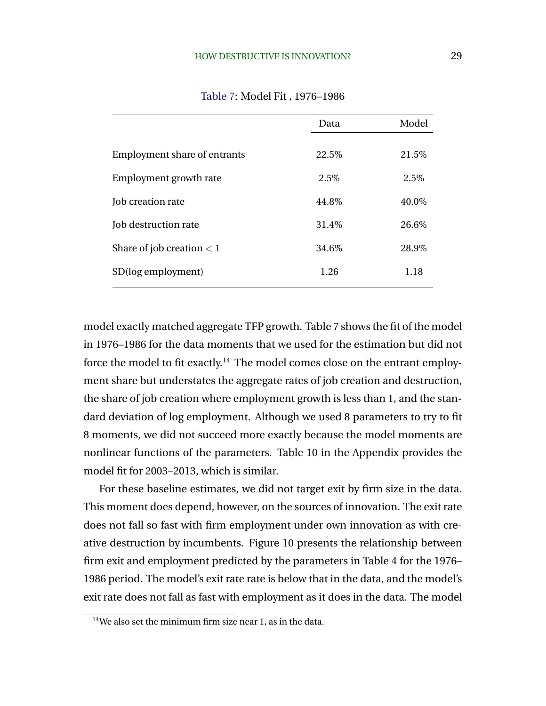|                                     | Data  | Model |
|-------------------------------------|-------|-------|
|                                     |       |       |
| <b>Employment share of entrants</b> | 22.5% | 21.5% |
| Employment growth rate              | 2.5%  | 2.5%  |
| Job creation rate                   | 44.8% | 40.0% |
| Job destruction rate                | 31.4% | 26.6% |
| Share of job creation $< 1$         | 34.6% | 28.9% |
| SD(log employment)                  | 1.26  | 1.18  |

Table 7: Model Fit , 1976–1986

model exactly matched aggregate TFP growth. Table 7 shows the fit of the model in 1976–1986 for the data moments that we used for the estimation but did not force the model to fit exactly.<sup>14</sup> The model comes close on the entrant employment share but understates the aggregate rates of job creation and destruction, the share of job creation where employment growth is less than 1, and the standard deviation of log employment. Although we used 8 parameters to try to fit 8 moments, we did not succeed more exactly because the model moments are nonlinear functions of the parameters. Table 10 in the Appendix provides the model fit for 2003–2013, which is similar.

For these baseline estimates, we did not target exit by firm size in the data. This moment does depend, however, on the sources of innovation. The exit rate does not fall so fast with firm employment under own innovation as with creative destruction by incumbents. Figure 10 presents the relationship between firm exit and employment predicted by the parameters in Table 4 for the 1976– 1986 period. The model's exit rate rate is below that in the data, and the model's exit rate does not fall as fast with employment as it does in the data. The model

<sup>14</sup>We also set the minimum firm size near 1, as in the data.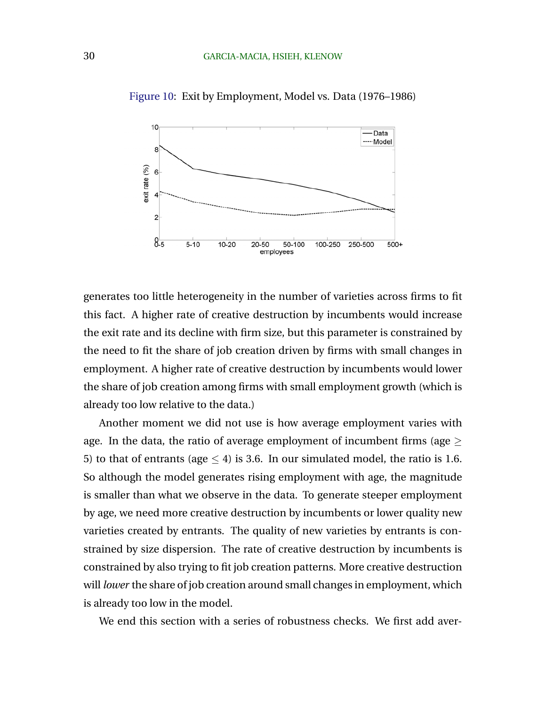

Figure 10: Exit by Employment, Model vs. Data (1976–1986)

generates too little heterogeneity in the number of varieties across firms to fit this fact. A higher rate of creative destruction by incumbents would increase the exit rate and its decline with firm size, but this parameter is constrained by the need to fit the share of job creation driven by firms with small changes in employment. A higher rate of creative destruction by incumbents would lower the share of job creation among firms with small employment growth (which is already too low relative to the data.)

Another moment we did not use is how average employment varies with age. In the data, the ratio of average employment of incumbent firms (age  $\geq$ 5) to that of entrants (age  $\leq$  4) is 3.6. In our simulated model, the ratio is 1.6. So although the model generates rising employment with age, the magnitude is smaller than what we observe in the data. To generate steeper employment by age, we need more creative destruction by incumbents or lower quality new varieties created by entrants. The quality of new varieties by entrants is constrained by size dispersion. The rate of creative destruction by incumbents is constrained by also trying to fit job creation patterns. More creative destruction will *lower* the share of job creation around small changes in employment, which is already too low in the model.

We end this section with a series of robustness checks. We first add aver-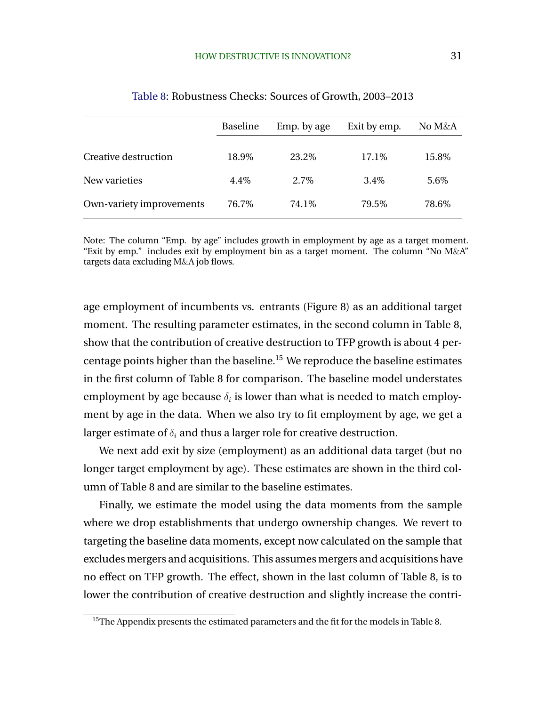|                          | <b>Baseline</b> | Emp. by age | Exit by emp. | No M&A |
|--------------------------|-----------------|-------------|--------------|--------|
|                          |                 |             |              |        |
| Creative destruction     | 18.9%           | 23.2\%      | 17.1\%       | 15.8%  |
| New varieties            | 4.4%            | $2.7\%$     | 3.4%         | 5.6%   |
| Own-variety improvements | 76.7%           | 74.1\%      | 79.5%        | 78.6%  |

#### Table 8: Robustness Checks: Sources of Growth, 2003–2013

Note: The column "Emp. by age" includes growth in employment by age as a target moment. "Exit by emp." includes exit by employment bin as a target moment. The column "No  $M\&A$ " targets data excluding M&A job flows.

age employment of incumbents vs. entrants (Figure 8) as an additional target moment. The resulting parameter estimates, in the second column in Table 8, show that the contribution of creative destruction to TFP growth is about 4 percentage points higher than the baseline.<sup>15</sup> We reproduce the baseline estimates in the first column of Table 8 for comparison. The baseline model understates employment by age because  $\delta_i$  is lower than what is needed to match employment by age in the data. When we also try to fit employment by age, we get a larger estimate of  $\delta_i$  and thus a larger role for creative destruction.

We next add exit by size (employment) as an additional data target (but no longer target employment by age). These estimates are shown in the third column of Table 8 and are similar to the baseline estimates.

Finally, we estimate the model using the data moments from the sample where we drop establishments that undergo ownership changes. We revert to targeting the baseline data moments, except now calculated on the sample that excludes mergers and acquisitions. This assumes mergers and acquisitions have no effect on TFP growth. The effect, shown in the last column of Table 8, is to lower the contribution of creative destruction and slightly increase the contri-

<sup>&</sup>lt;sup>15</sup>The Appendix presents the estimated parameters and the fit for the models in Table 8.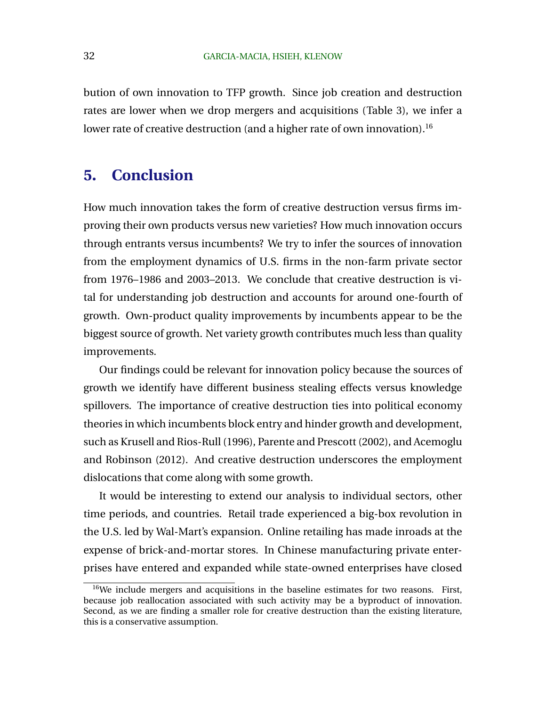bution of own innovation to TFP growth. Since job creation and destruction rates are lower when we drop mergers and acquisitions (Table 3), we infer a lower rate of creative destruction (and a higher rate of own innovation).<sup>16</sup>

## **5. Conclusion**

How much innovation takes the form of creative destruction versus firms improving their own products versus new varieties? How much innovation occurs through entrants versus incumbents? We try to infer the sources of innovation from the employment dynamics of U.S. firms in the non-farm private sector from 1976–1986 and 2003–2013. We conclude that creative destruction is vital for understanding job destruction and accounts for around one-fourth of growth. Own-product quality improvements by incumbents appear to be the biggest source of growth. Net variety growth contributes much less than quality improvements.

Our findings could be relevant for innovation policy because the sources of growth we identify have different business stealing effects versus knowledge spillovers. The importance of creative destruction ties into political economy theories in which incumbents block entry and hinder growth and development, such as Krusell and Rios-Rull (1996), Parente and Prescott (2002), and Acemoglu and Robinson (2012). And creative destruction underscores the employment dislocations that come along with some growth.

It would be interesting to extend our analysis to individual sectors, other time periods, and countries. Retail trade experienced a big-box revolution in the U.S. led by Wal-Mart's expansion. Online retailing has made inroads at the expense of brick-and-mortar stores. In Chinese manufacturing private enterprises have entered and expanded while state-owned enterprises have closed

 $16\text{We include mergers and acquisitions in the baseline estimates for two reasons. First,}$ because job reallocation associated with such activity may be a byproduct of innovation. Second, as we are finding a smaller role for creative destruction than the existing literature, this is a conservative assumption.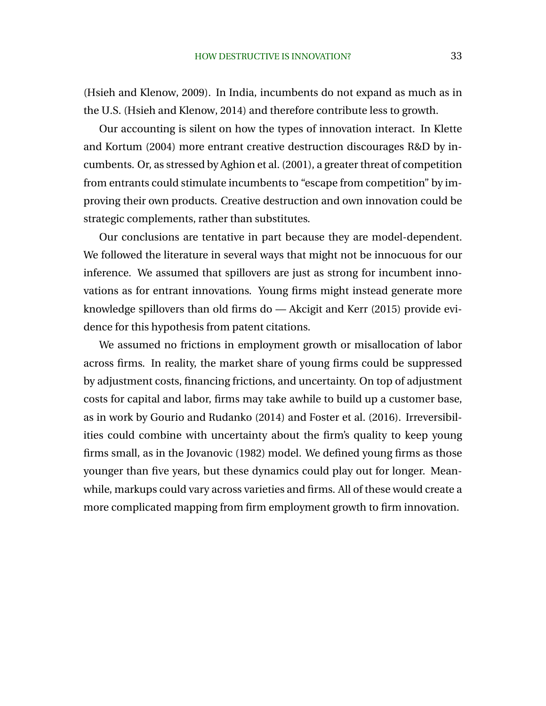(Hsieh and Klenow, 2009). In India, incumbents do not expand as much as in the U.S. (Hsieh and Klenow, 2014) and therefore contribute less to growth.

Our accounting is silent on how the types of innovation interact. In Klette and Kortum (2004) more entrant creative destruction discourages R&D by incumbents. Or, as stressed by Aghion et al. (2001), a greater threat of competition from entrants could stimulate incumbents to "escape from competition" by improving their own products. Creative destruction and own innovation could be strategic complements, rather than substitutes.

Our conclusions are tentative in part because they are model-dependent. We followed the literature in several ways that might not be innocuous for our inference. We assumed that spillovers are just as strong for incumbent innovations as for entrant innovations. Young firms might instead generate more knowledge spillovers than old firms do — Akcigit and Kerr (2015) provide evidence for this hypothesis from patent citations.

We assumed no frictions in employment growth or misallocation of labor across firms. In reality, the market share of young firms could be suppressed by adjustment costs, financing frictions, and uncertainty. On top of adjustment costs for capital and labor, firms may take awhile to build up a customer base, as in work by Gourio and Rudanko (2014) and Foster et al. (2016). Irreversibilities could combine with uncertainty about the firm's quality to keep young firms small, as in the Jovanovic (1982) model. We defined young firms as those younger than five years, but these dynamics could play out for longer. Meanwhile, markups could vary across varieties and firms. All of these would create a more complicated mapping from firm employment growth to firm innovation.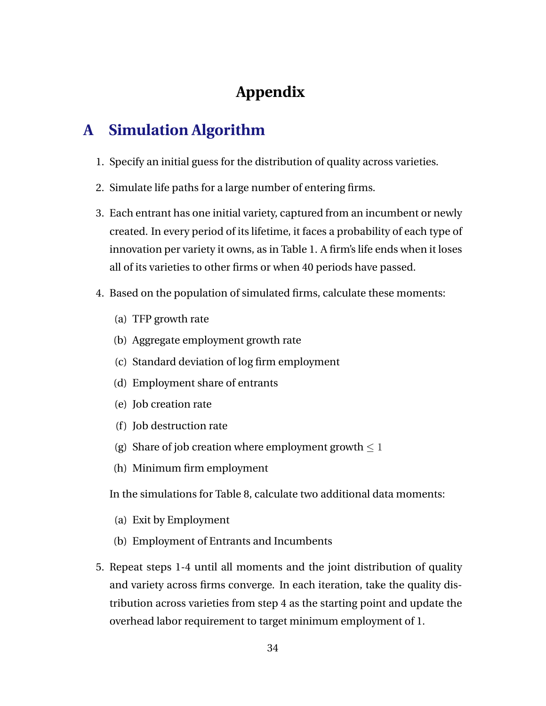# **Appendix**

# **A Simulation Algorithm**

- 1. Specify an initial guess for the distribution of quality across varieties.
- 2. Simulate life paths for a large number of entering firms.
- 3. Each entrant has one initial variety, captured from an incumbent or newly created. In every period of its lifetime, it faces a probability of each type of innovation per variety it owns, as in Table 1. A firm's life ends when it loses all of its varieties to other firms or when 40 periods have passed.
- 4. Based on the population of simulated firms, calculate these moments:
	- (a) TFP growth rate
	- (b) Aggregate employment growth rate
	- (c) Standard deviation of log firm employment
	- (d) Employment share of entrants
	- (e) Job creation rate
	- (f) Job destruction rate
	- (g) Share of job creation where employment growth  $\leq 1$
	- (h) Minimum firm employment

In the simulations for Table 8, calculate two additional data moments:

- (a) Exit by Employment
- (b) Employment of Entrants and Incumbents
- 5. Repeat steps 1-4 until all moments and the joint distribution of quality and variety across firms converge. In each iteration, take the quality distribution across varieties from step 4 as the starting point and update the overhead labor requirement to target minimum employment of 1.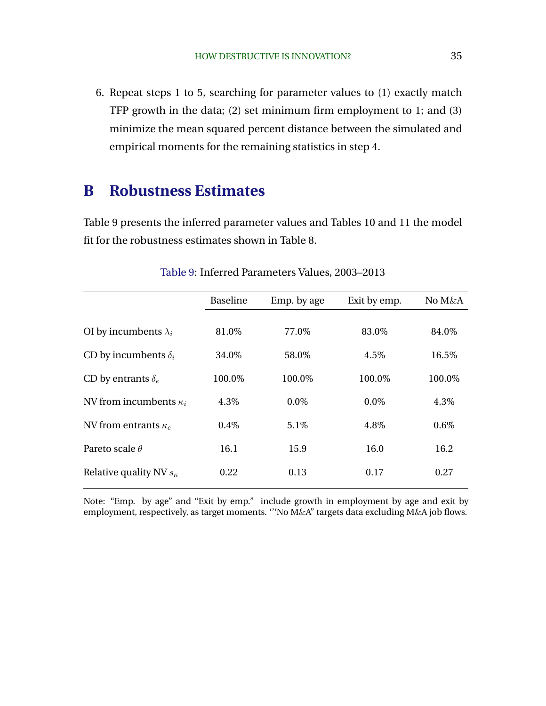6. Repeat steps 1 to 5, searching for parameter values to (1) exactly match TFP growth in the data; (2) set minimum firm employment to 1; and (3) minimize the mean squared percent distance between the simulated and empirical moments for the remaining statistics in step 4.

## **B Robustness Estimates**

Table 9 presents the inferred parameter values and Tables 10 and 11 the model fit for the robustness estimates shown in Table 8.

| <b>Baseline</b> | Emp. by age | Exit by emp. | No M&A |
|-----------------|-------------|--------------|--------|
|                 |             |              |        |
|                 |             |              |        |
|                 |             |              | 84.0%  |
| 34.0%           | 58.0%       | 4.5%         | 16.5%  |
| 100.0%          | 100.0%      | 100.0%       | 100.0% |
| 4.3%            | $0.0\%$     | $0.0\%$      | 4.3%   |
| 0.4%            | 5.1\%       | 4.8%         | 0.6%   |
| 16.1            | 15.9        | 16.0         | 16.2   |
| 0.22            | 0.13        | 0.17         | 0.27   |
|                 | 81.0%       | 77.0%        | 83.0%  |

Table 9: Inferred Parameters Values, 2003–2013

Note: "Emp. by age" and "Exit by emp." include growth in employment by age and exit by employment, respectively, as target moments. '''No M&A" targets data excluding M&A job flows.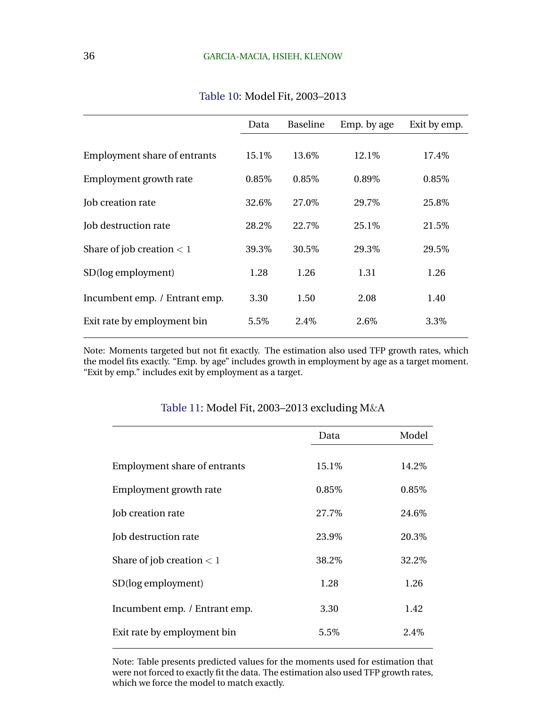| Data  | <b>Baseline</b> | Emp. by age | Exit by emp. |
|-------|-----------------|-------------|--------------|
|       |                 |             |              |
| 15.1% | 13.6%           | 12.1%       | 17.4%        |
| 0.85% | 0.85%           | 0.89%       | 0.85%        |
| 32.6% | 27.0%           | 29.7%       | 25.8%        |
| 28.2% | 22.7%           | 25.1\%      | 21.5%        |
| 39.3% | 30.5%           | 29.3\%      | 29.5%        |
| 1.28  | 1.26            | 1.31        | 1.26         |
| 3.30  | 1.50            | 2.08        | 1.40         |
| 5.5%  | 2.4\%           | 2.6\%       | 3.3%         |
|       |                 |             |              |

Table 10: Model Fit, 2003–2013

Note: Moments targeted but not fit exactly. The estimation also used TFP growth rates, which the model fits exactly. "Emp. by age" includes growth in employment by age as a target moment. "Exit by emp." includes exit by employment as a target.

|                                     | Data   | Model  |
|-------------------------------------|--------|--------|
|                                     |        |        |
| <b>Employment share of entrants</b> | 15.1%  | 14.2%  |
| Employment growth rate              | 0.85%  | 0.85%  |
| Job creation rate                   | 27.7%  | 24.6\% |
| Job destruction rate                | 23.9%  | 20.3%  |
| Share of job creation $<$ 1         | 38.2\% | 32.2\% |
| SD(log employment)                  | 1.28   | 1.26   |
| Incumbent emp. / Entrant emp.       | 3.30   | 1.42   |
| Exit rate by employment bin         | 5.5%   | 2.4\%  |
|                                     |        |        |

### Table 11: Model Fit, 2003–2013 excluding M&A

Note: Table presents predicted values for the moments used for estimation that were not forced to exactly fit the data. The estimation also used TFP growth rates, which we force the model to match exactly.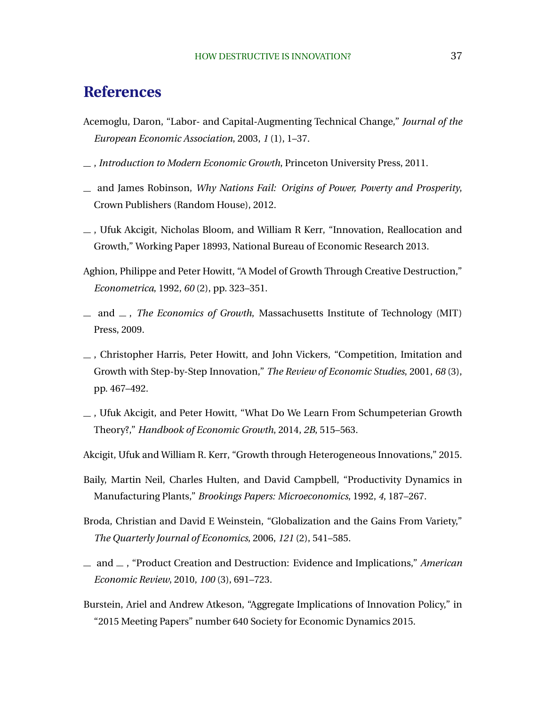## **References**

- Acemoglu, Daron, "Labor- and Capital-Augmenting Technical Change," *Journal of the European Economic Association*, 2003, *1* (1), 1–37.
- , *Introduction to Modern Economic Growth*, Princeton University Press, 2011.
- and James Robinson, *Why Nations Fail: Origins of Power, Poverty and Prosperity*, Crown Publishers (Random House), 2012.
- , Ufuk Akcigit, Nicholas Bloom, and William R Kerr, "Innovation, Reallocation and Growth," Working Paper 18993, National Bureau of Economic Research 2013.
- Aghion, Philippe and Peter Howitt, "A Model of Growth Through Creative Destruction," *Econometrica*, 1992, *60* (2), pp. 323–351.
- $\Box$  and  $\Box$ , *The Economics of Growth*, Massachusetts Institute of Technology (MIT) Press, 2009.
- $\overline{\phantom{a}}$ , Christopher Harris, Peter Howitt, and John Vickers, "Competition, Imitation and Growth with Step-by-Step Innovation," *The Review of Economic Studies*, 2001, *68* (3), pp. 467–492.
- $\overline{\phantom{a}}$ , Ufuk Akcigit, and Peter Howitt, "What Do We Learn From Schumpeterian Growth Theory?," *Handbook of Economic Growth*, 2014, *2B*, 515–563.
- Akcigit, Ufuk and William R. Kerr, "Growth through Heterogeneous Innovations," 2015.
- Baily, Martin Neil, Charles Hulten, and David Campbell, "Productivity Dynamics in Manufacturing Plants," *Brookings Papers: Microeconomics*, 1992, *4*, 187–267.
- Broda, Christian and David E Weinstein, "Globalization and the Gains From Variety," *The Quarterly Journal of Economics*, 2006, *121* (2), 541–585.
- and , "Product Creation and Destruction: Evidence and Implications," *American Economic Review*, 2010, *100* (3), 691–723.
- Burstein, Ariel and Andrew Atkeson, "Aggregate Implications of Innovation Policy," in "2015 Meeting Papers" number 640 Society for Economic Dynamics 2015.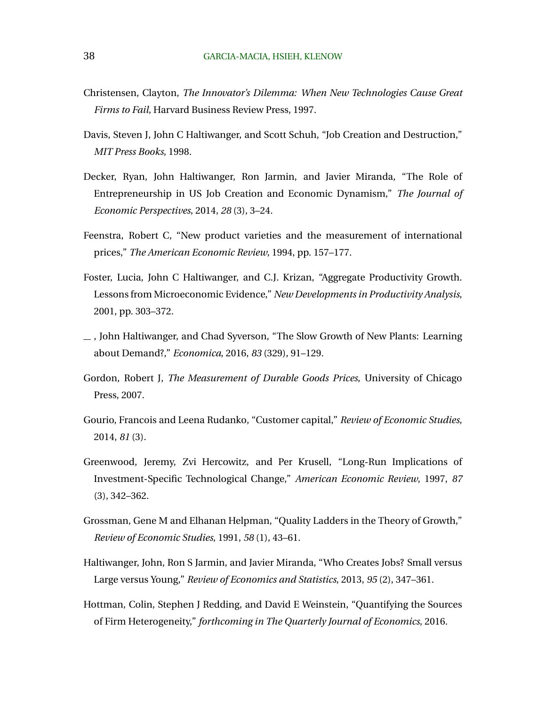- Christensen, Clayton, *The Innovator's Dilemma: When New Technologies Cause Great Firms to Fail*, Harvard Business Review Press, 1997.
- Davis, Steven J, John C Haltiwanger, and Scott Schuh, "Job Creation and Destruction," *MIT Press Books*, 1998.
- Decker, Ryan, John Haltiwanger, Ron Jarmin, and Javier Miranda, "The Role of Entrepreneurship in US Job Creation and Economic Dynamism," *The Journal of Economic Perspectives*, 2014, *28* (3), 3–24.
- Feenstra, Robert C, "New product varieties and the measurement of international prices," *The American Economic Review*, 1994, pp. 157–177.
- Foster, Lucia, John C Haltiwanger, and C.J. Krizan, "Aggregate Productivity Growth. Lessons from Microeconomic Evidence," *New Developments in Productivity Analysis*, 2001, pp. 303–372.
- $\equiv$ , John Haltiwanger, and Chad Syverson, "The Slow Growth of New Plants: Learning about Demand?," *Economica*, 2016, *83* (329), 91–129.
- Gordon, Robert J, *The Measurement of Durable Goods Prices*, University of Chicago Press, 2007.
- Gourio, Francois and Leena Rudanko, "Customer capital," *Review of Economic Studies*, 2014, *81* (3).
- Greenwood, Jeremy, Zvi Hercowitz, and Per Krusell, "Long-Run Implications of Investment-Specific Technological Change," *American Economic Review*, 1997, *87* (3), 342–362.
- Grossman, Gene M and Elhanan Helpman, "Quality Ladders in the Theory of Growth," *Review of Economic Studies*, 1991, *58* (1), 43–61.
- Haltiwanger, John, Ron S Jarmin, and Javier Miranda, "Who Creates Jobs? Small versus Large versus Young," *Review of Economics and Statistics*, 2013, *95* (2), 347–361.
- Hottman, Colin, Stephen J Redding, and David E Weinstein, "Quantifying the Sources of Firm Heterogeneity," *forthcoming in The Quarterly Journal of Economics*, 2016.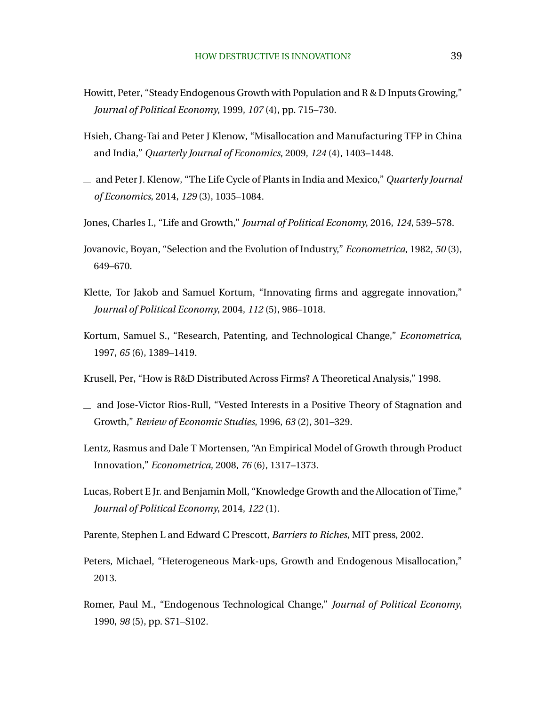- Howitt, Peter, "Steady Endogenous Growth with Population and R & D Inputs Growing," *Journal of Political Economy*, 1999, *107* (4), pp. 715–730.
- Hsieh, Chang-Tai and Peter J Klenow, "Misallocation and Manufacturing TFP in China and India," *Quarterly Journal of Economics*, 2009, *124* (4), 1403–1448.
- and Peter J. Klenow, "The Life Cycle of Plants in India and Mexico," *Quarterly Journal of Economics*, 2014, *129* (3), 1035–1084.
- Jones, Charles I., "Life and Growth," *Journal of Political Economy*, 2016, *124*, 539–578.
- Jovanovic, Boyan, "Selection and the Evolution of Industry," *Econometrica*, 1982, *50* (3), 649–670.
- Klette, Tor Jakob and Samuel Kortum, "Innovating firms and aggregate innovation," *Journal of Political Economy*, 2004, *112* (5), 986–1018.
- Kortum, Samuel S., "Research, Patenting, and Technological Change," *Econometrica*, 1997, *65* (6), 1389–1419.
- Krusell, Per, "How is R&D Distributed Across Firms? A Theoretical Analysis," 1998.
- and Jose-Victor Rios-Rull, "Vested Interests in a Positive Theory of Stagnation and Growth," *Review of Economic Studies*, 1996, *63* (2), 301–329.
- Lentz, Rasmus and Dale T Mortensen, "An Empirical Model of Growth through Product Innovation," *Econometrica*, 2008, *76* (6), 1317–1373.
- Lucas, Robert E Jr. and Benjamin Moll, "Knowledge Growth and the Allocation of Time," *Journal of Political Economy*, 2014, *122* (1).
- Parente, Stephen L and Edward C Prescott, *Barriers to Riches*, MIT press, 2002.
- Peters, Michael, "Heterogeneous Mark-ups, Growth and Endogenous Misallocation," 2013.
- Romer, Paul M., "Endogenous Technological Change," *Journal of Political Economy*, 1990, *98* (5), pp. S71–S102.